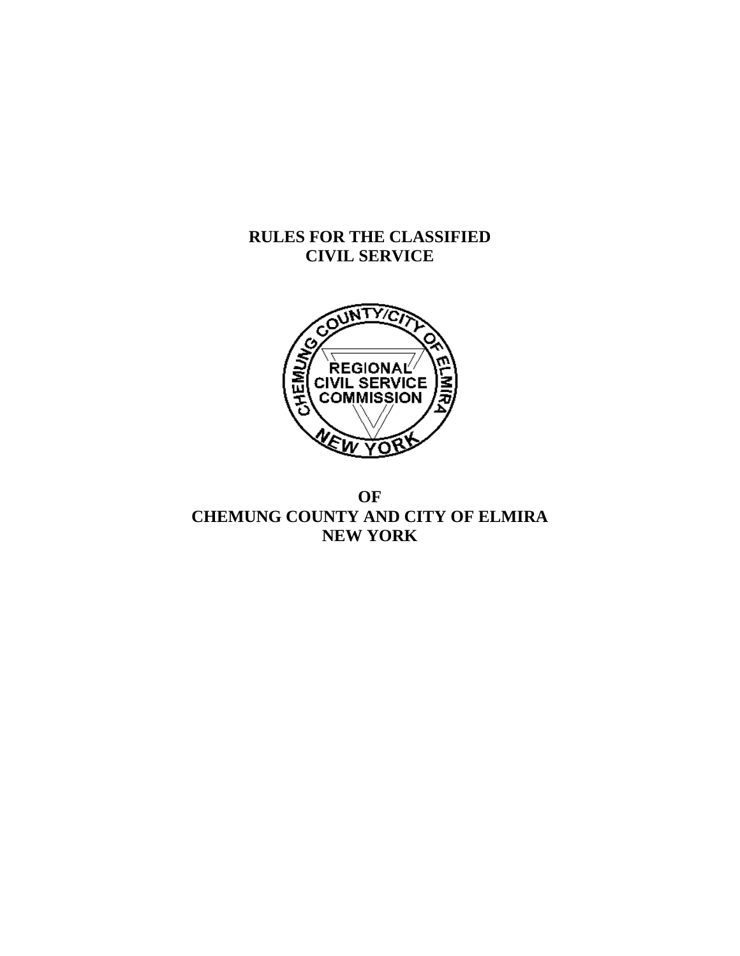# **RULES FOR THE CLASSIFIED CIVIL SERVICE**



# **OF CHEMUNG COUNTY AND CITY OF ELMIRA NEW YORK**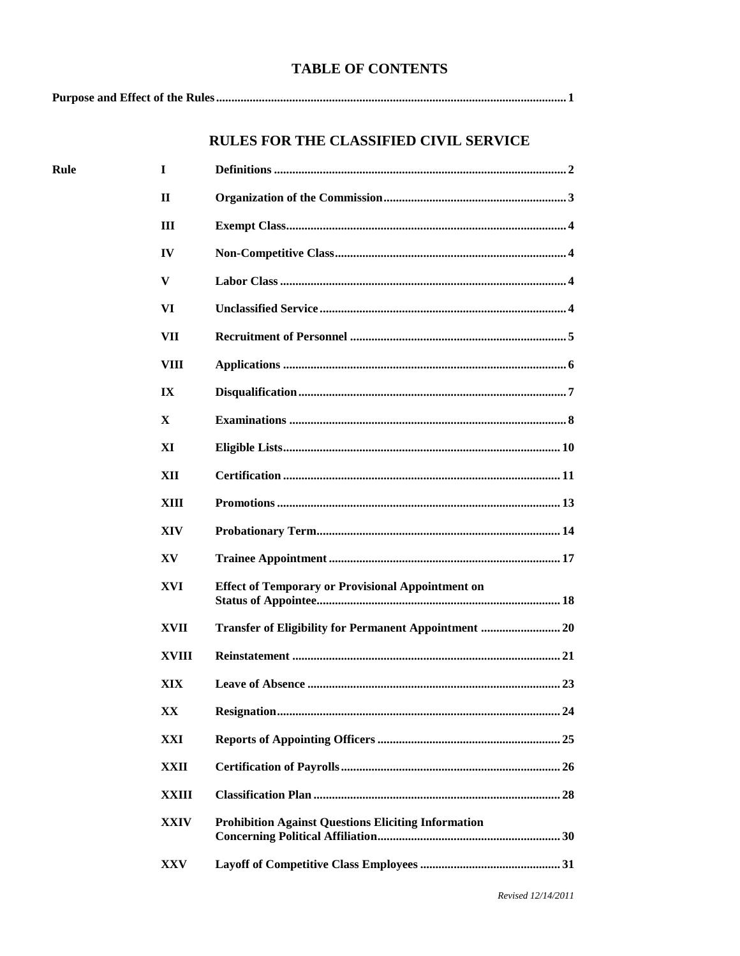# **TABLE OF CONTENTS**

Rule

# RULES FOR THE CLASSIFIED CIVIL SERVICE

| T            |                                                            |
|--------------|------------------------------------------------------------|
| П            |                                                            |
| Ш            |                                                            |
| IV           |                                                            |
| V            |                                                            |
| VI           |                                                            |
| VII          |                                                            |
| VIII         |                                                            |
| IX           |                                                            |
| $\mathbf{X}$ |                                                            |
| XI           |                                                            |
| XII          |                                                            |
| XIII         |                                                            |
| XIV          |                                                            |
| XV           |                                                            |
| XVI          | <b>Effect of Temporary or Provisional Appointment on</b>   |
| <b>XVII</b>  | Transfer of Eligibility for Permanent Appointment  20      |
| XVIII        |                                                            |
| XIX          |                                                            |
| XX           |                                                            |
| XXI          |                                                            |
| <b>XXII</b>  |                                                            |
| XXIII        |                                                            |
| <b>XXIV</b>  | <b>Prohibition Against Questions Eliciting Information</b> |
| XXV          |                                                            |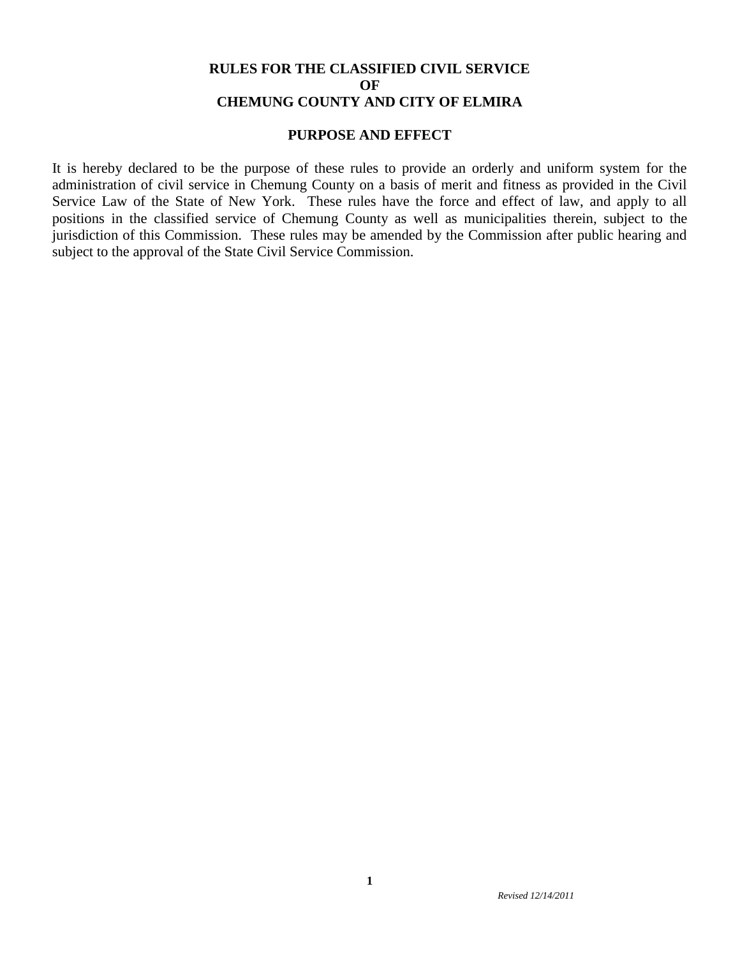# **RULES FOR THE CLASSIFIED CIVIL SERVICE OF CHEMUNG COUNTY AND CITY OF ELMIRA**

### **PURPOSE AND EFFECT**

It is hereby declared to be the purpose of these rules to provide an orderly and uniform system for the administration of civil service in Chemung County on a basis of merit and fitness as provided in the Civil Service Law of the State of New York. These rules have the force and effect of law, and apply to all positions in the classified service of Chemung County as well as municipalities therein, subject to the jurisdiction of this Commission. These rules may be amended by the Commission after public hearing and subject to the approval of the State Civil Service Commission.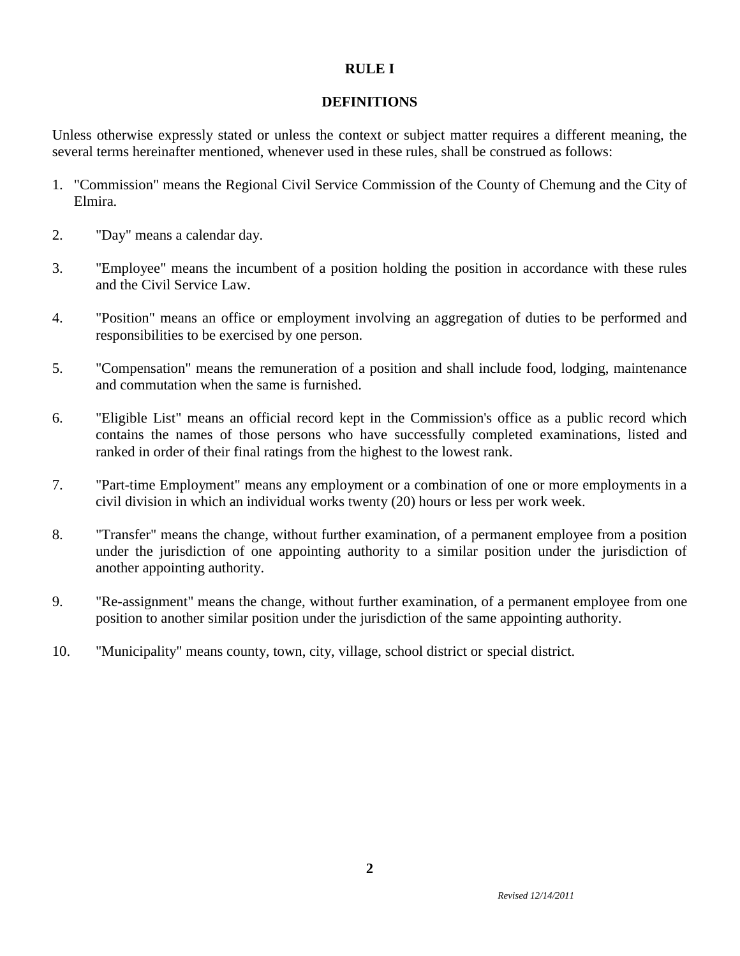### **RULE I**

### **DEFINITIONS**

Unless otherwise expressly stated or unless the context or subject matter requires a different meaning, the several terms hereinafter mentioned, whenever used in these rules, shall be construed as follows:

- 1. "Commission" means the Regional Civil Service Commission of the County of Chemung and the City of Elmira.
- 2. "Day" means a calendar day.
- 3. "Employee" means the incumbent of a position holding the position in accordance with these rules and the Civil Service Law.
- 4. "Position" means an office or employment involving an aggregation of duties to be performed and responsibilities to be exercised by one person.
- 5. "Compensation" means the remuneration of a position and shall include food, lodging, maintenance and commutation when the same is furnished.
- 6. "Eligible List" means an official record kept in the Commission's office as a public record which contains the names of those persons who have successfully completed examinations, listed and ranked in order of their final ratings from the highest to the lowest rank.
- 7. "Part-time Employment" means any employment or a combination of one or more employments in a civil division in which an individual works twenty (20) hours or less per work week.
- 8. "Transfer" means the change, without further examination, of a permanent employee from a position under the jurisdiction of one appointing authority to a similar position under the jurisdiction of another appointing authority.
- 9. "Re-assignment" means the change, without further examination, of a permanent employee from one position to another similar position under the jurisdiction of the same appointing authority.
- 10. "Municipality" means county, town, city, village, school district or special district.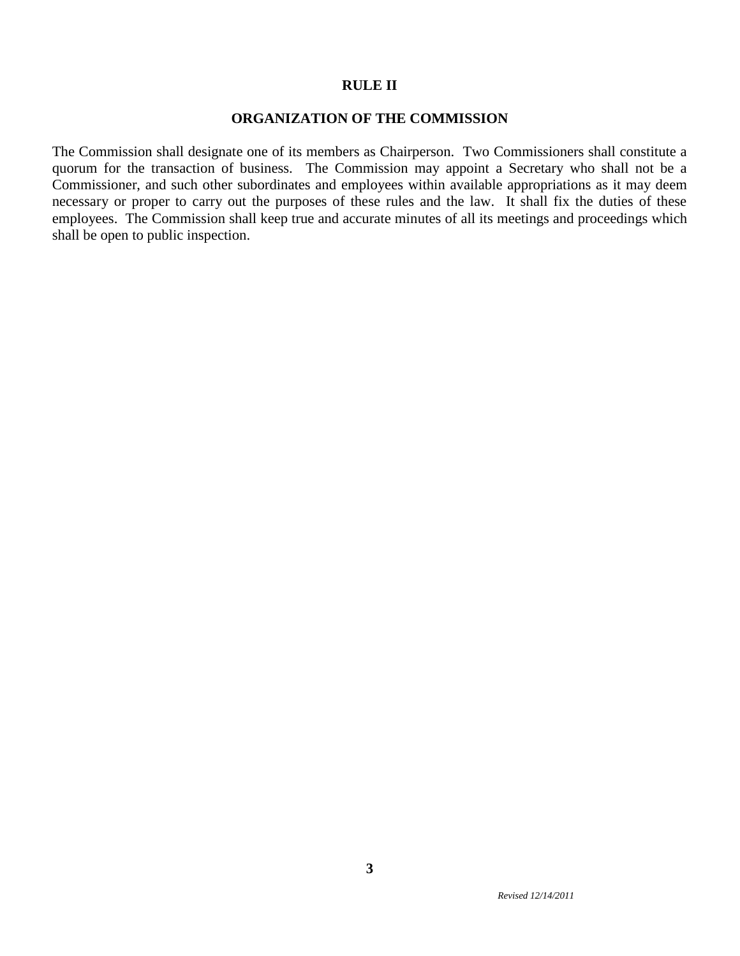### **RULE II**

### **ORGANIZATION OF THE COMMISSION**

The Commission shall designate one of its members as Chairperson. Two Commissioners shall constitute a quorum for the transaction of business. The Commission may appoint a Secretary who shall not be a Commissioner, and such other subordinates and employees within available appropriations as it may deem necessary or proper to carry out the purposes of these rules and the law. It shall fix the duties of these employees. The Commission shall keep true and accurate minutes of all its meetings and proceedings which shall be open to public inspection.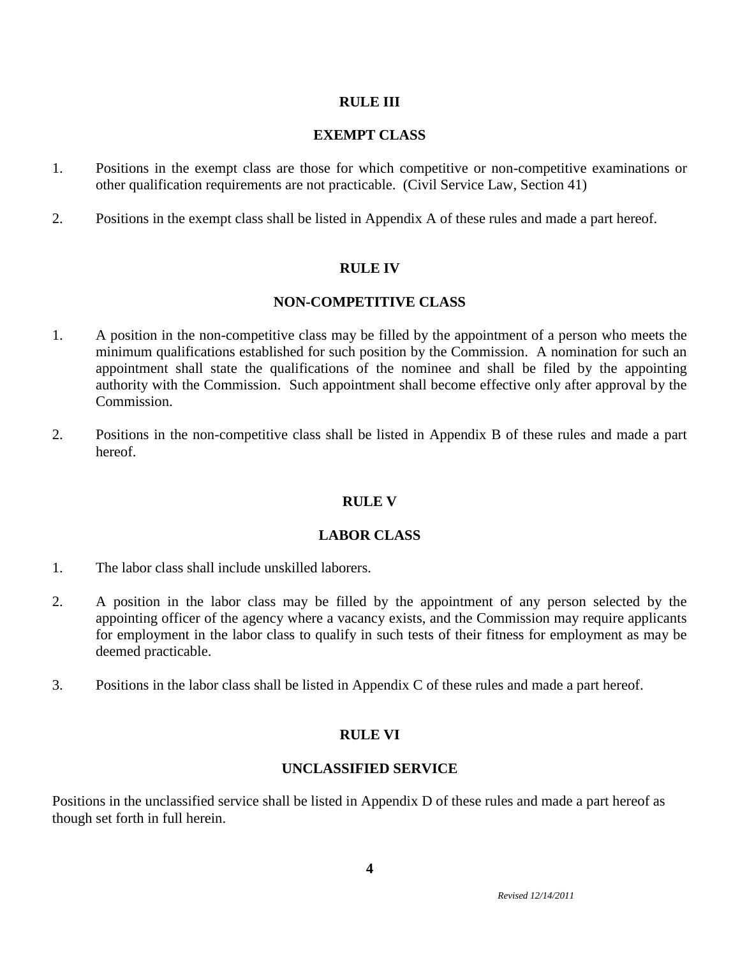### **RULE III**

## **EXEMPT CLASS**

- 1. Positions in the exempt class are those for which competitive or non-competitive examinations or other qualification requirements are not practicable. (Civil Service Law, Section 41)
- 2. Positions in the exempt class shall be listed in Appendix A of these rules and made a part hereof.

### **RULE IV**

### **NON-COMPETITIVE CLASS**

- 1. A position in the non-competitive class may be filled by the appointment of a person who meets the minimum qualifications established for such position by the Commission. A nomination for such an appointment shall state the qualifications of the nominee and shall be filed by the appointing authority with the Commission. Such appointment shall become effective only after approval by the Commission.
- 2. Positions in the non-competitive class shall be listed in Appendix B of these rules and made a part hereof.

### **RULE V**

### **LABOR CLASS**

- 1. The labor class shall include unskilled laborers.
- 2. A position in the labor class may be filled by the appointment of any person selected by the appointing officer of the agency where a vacancy exists, and the Commission may require applicants for employment in the labor class to qualify in such tests of their fitness for employment as may be deemed practicable.
- 3. Positions in the labor class shall be listed in Appendix C of these rules and made a part hereof.

### **RULE VI**

### **UNCLASSIFIED SERVICE**

Positions in the unclassified service shall be listed in Appendix D of these rules and made a part hereof as though set forth in full herein.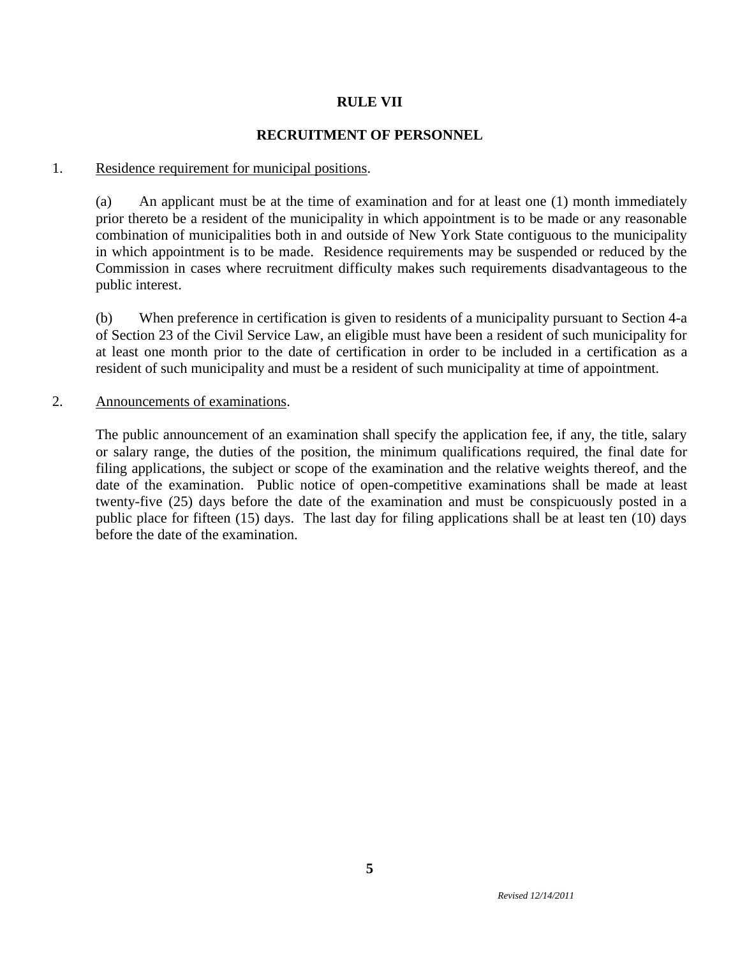# **RULE VII**

# **RECRUITMENT OF PERSONNEL**

### 1. Residence requirement for municipal positions.

(a) An applicant must be at the time of examination and for at least one (1) month immediately prior thereto be a resident of the municipality in which appointment is to be made or any reasonable combination of municipalities both in and outside of New York State contiguous to the municipality in which appointment is to be made. Residence requirements may be suspended or reduced by the Commission in cases where recruitment difficulty makes such requirements disadvantageous to the public interest.

(b) When preference in certification is given to residents of a municipality pursuant to Section 4-a of Section 23 of the Civil Service Law, an eligible must have been a resident of such municipality for at least one month prior to the date of certification in order to be included in a certification as a resident of such municipality and must be a resident of such municipality at time of appointment.

### 2. Announcements of examinations.

The public announcement of an examination shall specify the application fee, if any, the title, salary or salary range, the duties of the position, the minimum qualifications required, the final date for filing applications, the subject or scope of the examination and the relative weights thereof, and the date of the examination. Public notice of open-competitive examinations shall be made at least twenty-five (25) days before the date of the examination and must be conspicuously posted in a public place for fifteen (15) days. The last day for filing applications shall be at least ten (10) days before the date of the examination.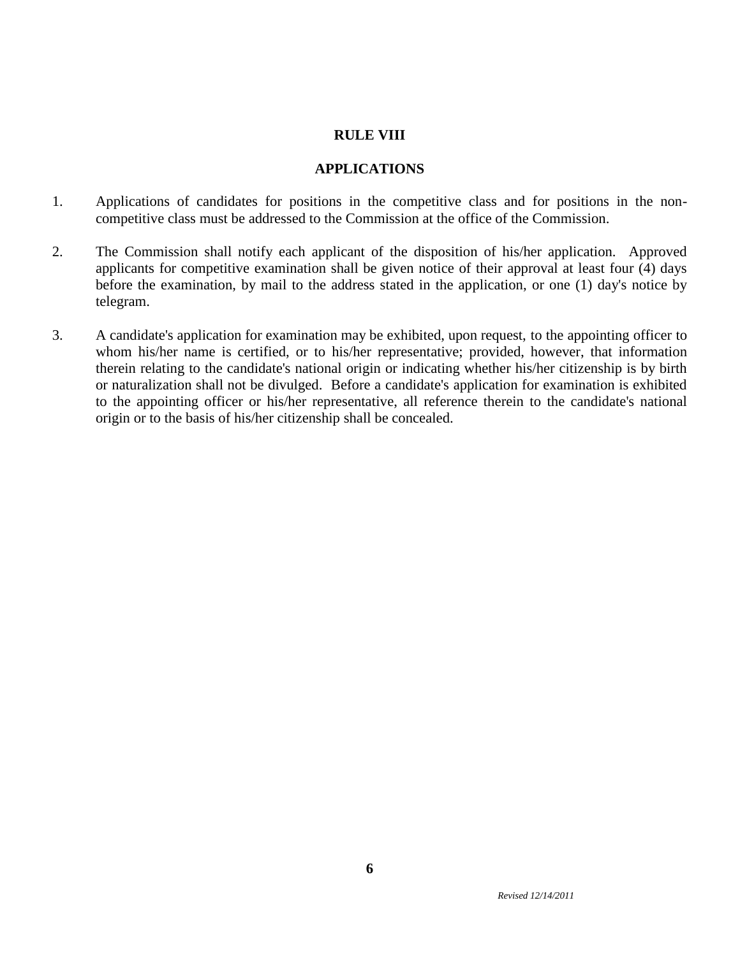### **RULE VIII**

### **APPLICATIONS**

- 1. Applications of candidates for positions in the competitive class and for positions in the noncompetitive class must be addressed to the Commission at the office of the Commission.
- 2. The Commission shall notify each applicant of the disposition of his/her application. Approved applicants for competitive examination shall be given notice of their approval at least four (4) days before the examination, by mail to the address stated in the application, or one (1) day's notice by telegram.
- 3. A candidate's application for examination may be exhibited, upon request, to the appointing officer to whom his/her name is certified, or to his/her representative; provided, however, that information therein relating to the candidate's national origin or indicating whether his/her citizenship is by birth or naturalization shall not be divulged. Before a candidate's application for examination is exhibited to the appointing officer or his/her representative, all reference therein to the candidate's national origin or to the basis of his/her citizenship shall be concealed.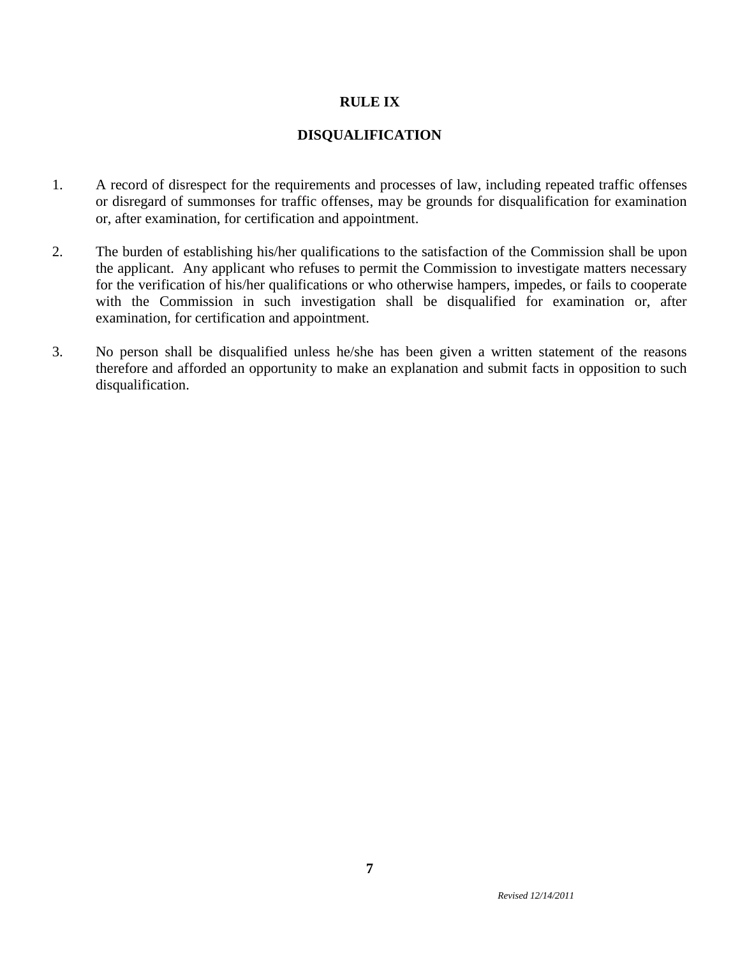# **RULE IX**

# **DISQUALIFICATION**

- 1. A record of disrespect for the requirements and processes of law, including repeated traffic offenses or disregard of summonses for traffic offenses, may be grounds for disqualification for examination or, after examination, for certification and appointment.
- 2. The burden of establishing his/her qualifications to the satisfaction of the Commission shall be upon the applicant. Any applicant who refuses to permit the Commission to investigate matters necessary for the verification of his/her qualifications or who otherwise hampers, impedes, or fails to cooperate with the Commission in such investigation shall be disqualified for examination or, after examination, for certification and appointment.
- 3. No person shall be disqualified unless he/she has been given a written statement of the reasons therefore and afforded an opportunity to make an explanation and submit facts in opposition to such disqualification.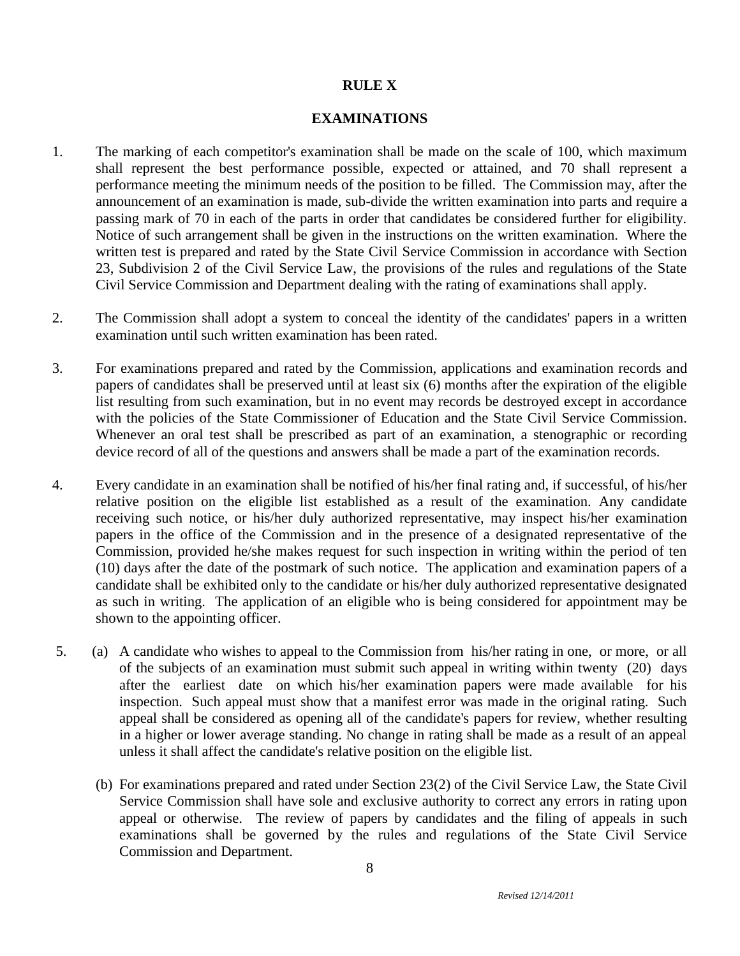### **RULE X**

#### **EXAMINATIONS**

- 1. The marking of each competitor's examination shall be made on the scale of 100, which maximum shall represent the best performance possible, expected or attained, and 70 shall represent a performance meeting the minimum needs of the position to be filled. The Commission may, after the announcement of an examination is made, sub-divide the written examination into parts and require a passing mark of 70 in each of the parts in order that candidates be considered further for eligibility. Notice of such arrangement shall be given in the instructions on the written examination. Where the written test is prepared and rated by the State Civil Service Commission in accordance with Section 23, Subdivision 2 of the Civil Service Law, the provisions of the rules and regulations of the State Civil Service Commission and Department dealing with the rating of examinations shall apply.
- 2. The Commission shall adopt a system to conceal the identity of the candidates' papers in a written examination until such written examination has been rated.
- 3. For examinations prepared and rated by the Commission, applications and examination records and papers of candidates shall be preserved until at least six (6) months after the expiration of the eligible list resulting from such examination, but in no event may records be destroyed except in accordance with the policies of the State Commissioner of Education and the State Civil Service Commission. Whenever an oral test shall be prescribed as part of an examination, a stenographic or recording device record of all of the questions and answers shall be made a part of the examination records.
- 4. Every candidate in an examination shall be notified of his/her final rating and, if successful, of his/her relative position on the eligible list established as a result of the examination. Any candidate receiving such notice, or his/her duly authorized representative, may inspect his/her examination papers in the office of the Commission and in the presence of a designated representative of the Commission, provided he/she makes request for such inspection in writing within the period of ten (10) days after the date of the postmark of such notice. The application and examination papers of a candidate shall be exhibited only to the candidate or his/her duly authorized representative designated as such in writing. The application of an eligible who is being considered for appointment may be shown to the appointing officer.
- 5. (a) A candidate who wishes to appeal to the Commission from his/her rating in one, or more, or all of the subjects of an examination must submit such appeal in writing within twenty (20) days after the earliest date on which his/her examination papers were made available for his inspection. Such appeal must show that a manifest error was made in the original rating. Such appeal shall be considered as opening all of the candidate's papers for review, whether resulting in a higher or lower average standing. No change in rating shall be made as a result of an appeal unless it shall affect the candidate's relative position on the eligible list.
	- (b) For examinations prepared and rated under Section 23(2) of the Civil Service Law, the State Civil Service Commission shall have sole and exclusive authority to correct any errors in rating upon appeal or otherwise. The review of papers by candidates and the filing of appeals in such examinations shall be governed by the rules and regulations of the State Civil Service Commission and Department.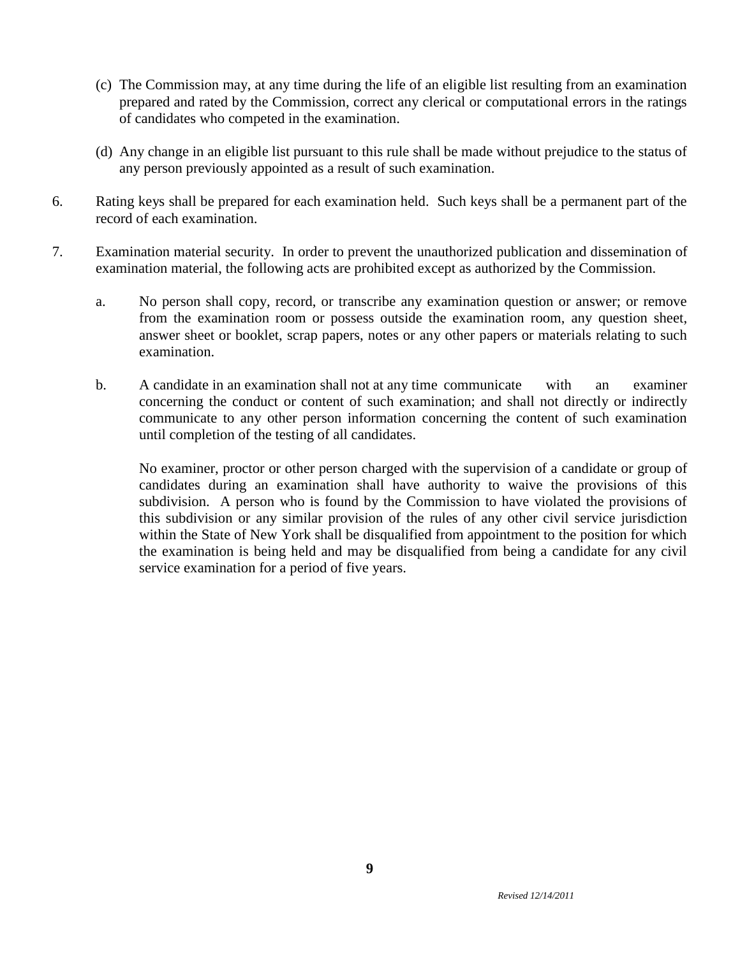- (c) The Commission may, at any time during the life of an eligible list resulting from an examination prepared and rated by the Commission, correct any clerical or computational errors in the ratings of candidates who competed in the examination.
- (d) Any change in an eligible list pursuant to this rule shall be made without prejudice to the status of any person previously appointed as a result of such examination.
- 6. Rating keys shall be prepared for each examination held. Such keys shall be a permanent part of the record of each examination.
- 7. Examination material security. In order to prevent the unauthorized publication and dissemination of examination material, the following acts are prohibited except as authorized by the Commission.
	- a. No person shall copy, record, or transcribe any examination question or answer; or remove from the examination room or possess outside the examination room, any question sheet, answer sheet or booklet, scrap papers, notes or any other papers or materials relating to such examination.
	- b. A candidate in an examination shall not at any time communicate with an examiner concerning the conduct or content of such examination; and shall not directly or indirectly communicate to any other person information concerning the content of such examination until completion of the testing of all candidates.

No examiner, proctor or other person charged with the supervision of a candidate or group of candidates during an examination shall have authority to waive the provisions of this subdivision. A person who is found by the Commission to have violated the provisions of this subdivision or any similar provision of the rules of any other civil service jurisdiction within the State of New York shall be disqualified from appointment to the position for which the examination is being held and may be disqualified from being a candidate for any civil service examination for a period of five years.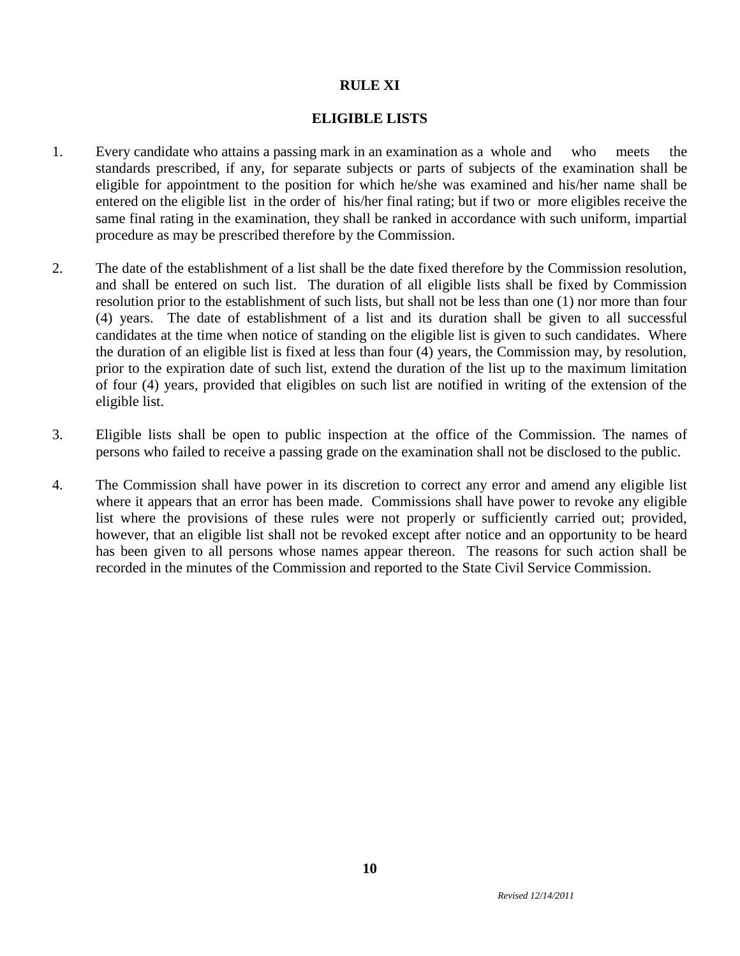# **RULE XI**

### **ELIGIBLE LISTS**

- 1. Every candidate who attains a passing mark in an examination as a whole and who meets the standards prescribed, if any, for separate subjects or parts of subjects of the examination shall be eligible for appointment to the position for which he/she was examined and his/her name shall be entered on the eligible list in the order of his/her final rating; but if two or more eligibles receive the same final rating in the examination, they shall be ranked in accordance with such uniform, impartial procedure as may be prescribed therefore by the Commission.
- 2. The date of the establishment of a list shall be the date fixed therefore by the Commission resolution, and shall be entered on such list. The duration of all eligible lists shall be fixed by Commission resolution prior to the establishment of such lists, but shall not be less than one (1) nor more than four (4) years. The date of establishment of a list and its duration shall be given to all successful candidates at the time when notice of standing on the eligible list is given to such candidates. Where the duration of an eligible list is fixed at less than four (4) years, the Commission may, by resolution, prior to the expiration date of such list, extend the duration of the list up to the maximum limitation of four (4) years, provided that eligibles on such list are notified in writing of the extension of the eligible list.
- 3. Eligible lists shall be open to public inspection at the office of the Commission. The names of persons who failed to receive a passing grade on the examination shall not be disclosed to the public.
- 4. The Commission shall have power in its discretion to correct any error and amend any eligible list where it appears that an error has been made. Commissions shall have power to revoke any eligible list where the provisions of these rules were not properly or sufficiently carried out; provided, however, that an eligible list shall not be revoked except after notice and an opportunity to be heard has been given to all persons whose names appear thereon. The reasons for such action shall be recorded in the minutes of the Commission and reported to the State Civil Service Commission.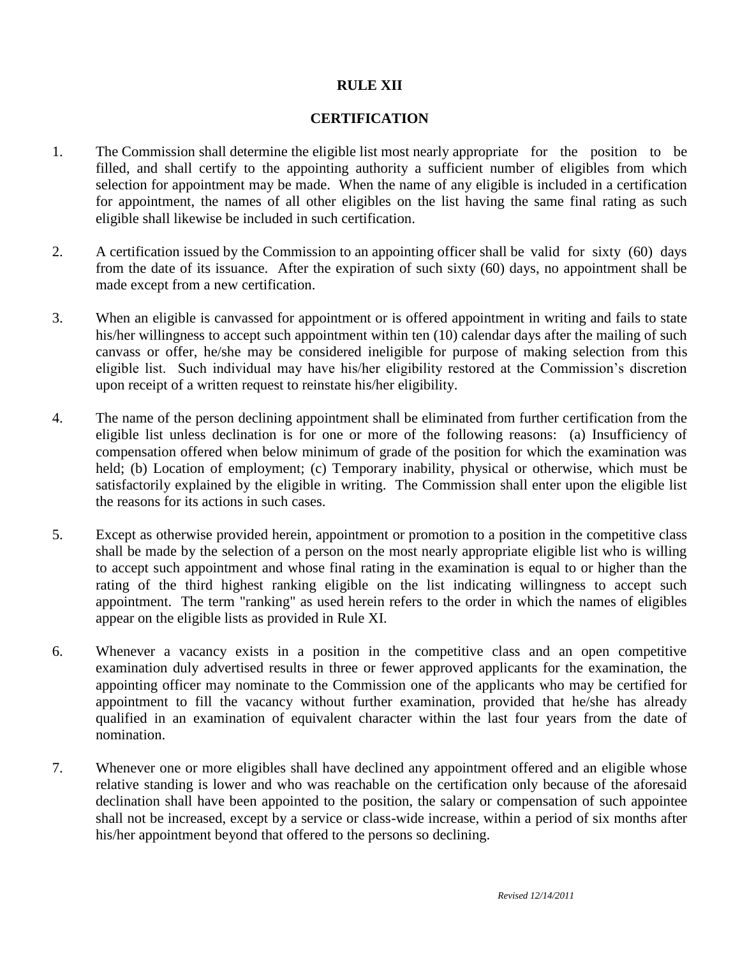# **RULE XII**

### **CERTIFICATION**

- 1. The Commission shall determine the eligible list most nearly appropriate for the position to be filled, and shall certify to the appointing authority a sufficient number of eligibles from which selection for appointment may be made. When the name of any eligible is included in a certification for appointment, the names of all other eligibles on the list having the same final rating as such eligible shall likewise be included in such certification.
- 2. A certification issued by the Commission to an appointing officer shall be valid for sixty (60) days from the date of its issuance. After the expiration of such sixty (60) days, no appointment shall be made except from a new certification.
- 3. When an eligible is canvassed for appointment or is offered appointment in writing and fails to state his/her willingness to accept such appointment within ten (10) calendar days after the mailing of such canvass or offer, he/she may be considered ineligible for purpose of making selection from this eligible list. Such individual may have his/her eligibility restored at the Commission's discretion upon receipt of a written request to reinstate his/her eligibility.
- 4. The name of the person declining appointment shall be eliminated from further certification from the eligible list unless declination is for one or more of the following reasons: (a) Insufficiency of compensation offered when below minimum of grade of the position for which the examination was held; (b) Location of employment; (c) Temporary inability, physical or otherwise, which must be satisfactorily explained by the eligible in writing. The Commission shall enter upon the eligible list the reasons for its actions in such cases.
- 5. Except as otherwise provided herein, appointment or promotion to a position in the competitive class shall be made by the selection of a person on the most nearly appropriate eligible list who is willing to accept such appointment and whose final rating in the examination is equal to or higher than the rating of the third highest ranking eligible on the list indicating willingness to accept such appointment. The term "ranking" as used herein refers to the order in which the names of eligibles appear on the eligible lists as provided in Rule XI.
- 6. Whenever a vacancy exists in a position in the competitive class and an open competitive examination duly advertised results in three or fewer approved applicants for the examination, the appointing officer may nominate to the Commission one of the applicants who may be certified for appointment to fill the vacancy without further examination, provided that he/she has already qualified in an examination of equivalent character within the last four years from the date of nomination.
- 7. Whenever one or more eligibles shall have declined any appointment offered and an eligible whose relative standing is lower and who was reachable on the certification only because of the aforesaid declination shall have been appointed to the position, the salary or compensation of such appointee shall not be increased, except by a service or class-wide increase, within a period of six months after his/her appointment beyond that offered to the persons so declining.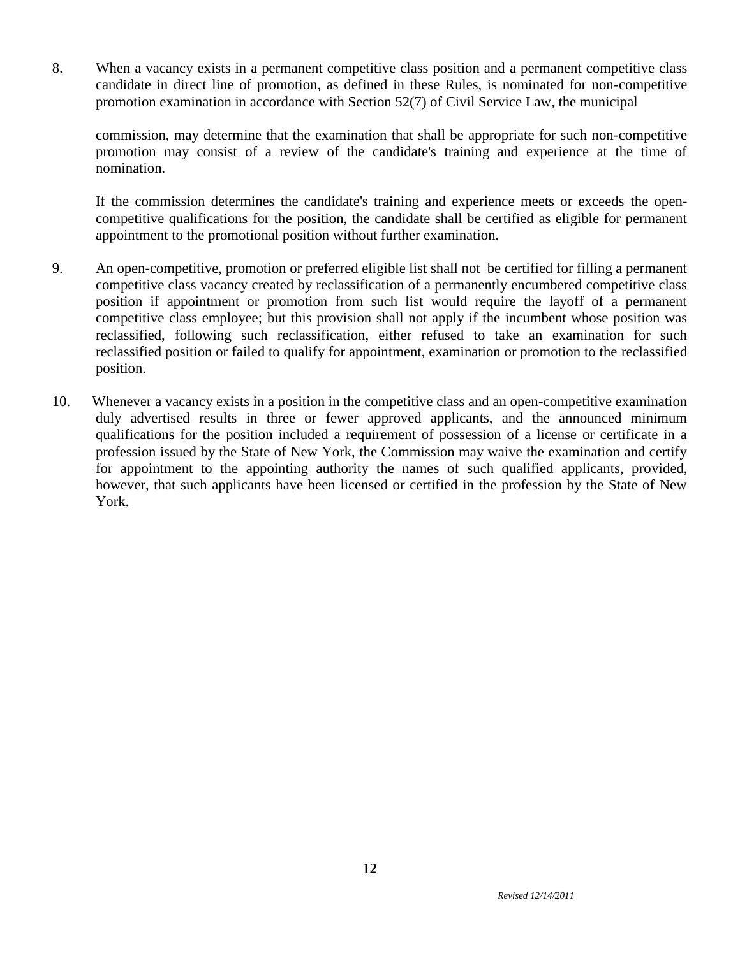8. When a vacancy exists in a permanent competitive class position and a permanent competitive class candidate in direct line of promotion, as defined in these Rules, is nominated for non-competitive promotion examination in accordance with Section 52(7) of Civil Service Law, the municipal

commission, may determine that the examination that shall be appropriate for such non-competitive promotion may consist of a review of the candidate's training and experience at the time of nomination.

If the commission determines the candidate's training and experience meets or exceeds the opencompetitive qualifications for the position, the candidate shall be certified as eligible for permanent appointment to the promotional position without further examination.

- 9. An open-competitive, promotion or preferred eligible list shall not be certified for filling a permanent competitive class vacancy created by reclassification of a permanently encumbered competitive class position if appointment or promotion from such list would require the layoff of a permanent competitive class employee; but this provision shall not apply if the incumbent whose position was reclassified, following such reclassification, either refused to take an examination for such reclassified position or failed to qualify for appointment, examination or promotion to the reclassified position.
- 10. Whenever a vacancy exists in a position in the competitive class and an open-competitive examination duly advertised results in three or fewer approved applicants, and the announced minimum qualifications for the position included a requirement of possession of a license or certificate in a profession issued by the State of New York, the Commission may waive the examination and certify for appointment to the appointing authority the names of such qualified applicants, provided, however, that such applicants have been licensed or certified in the profession by the State of New York.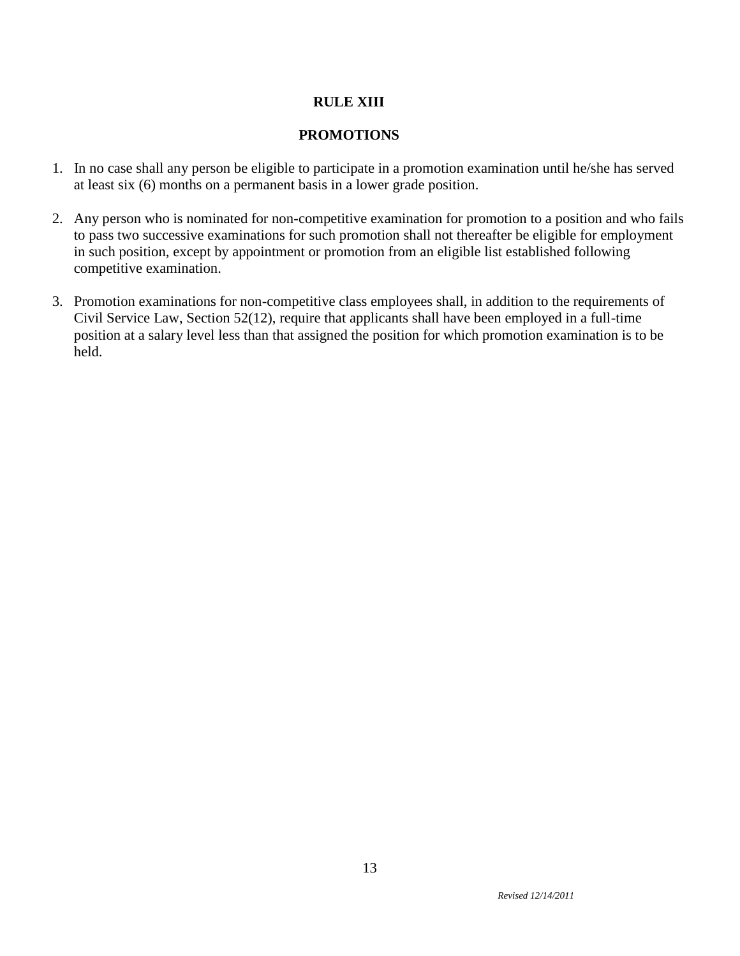# **RULE XIII**

# **PROMOTIONS**

- 1. In no case shall any person be eligible to participate in a promotion examination until he/she has served at least six (6) months on a permanent basis in a lower grade position.
- 2. Any person who is nominated for non-competitive examination for promotion to a position and who fails to pass two successive examinations for such promotion shall not thereafter be eligible for employment in such position, except by appointment or promotion from an eligible list established following competitive examination.
- 3. Promotion examinations for non-competitive class employees shall, in addition to the requirements of Civil Service Law, Section 52(12), require that applicants shall have been employed in a full-time position at a salary level less than that assigned the position for which promotion examination is to be held.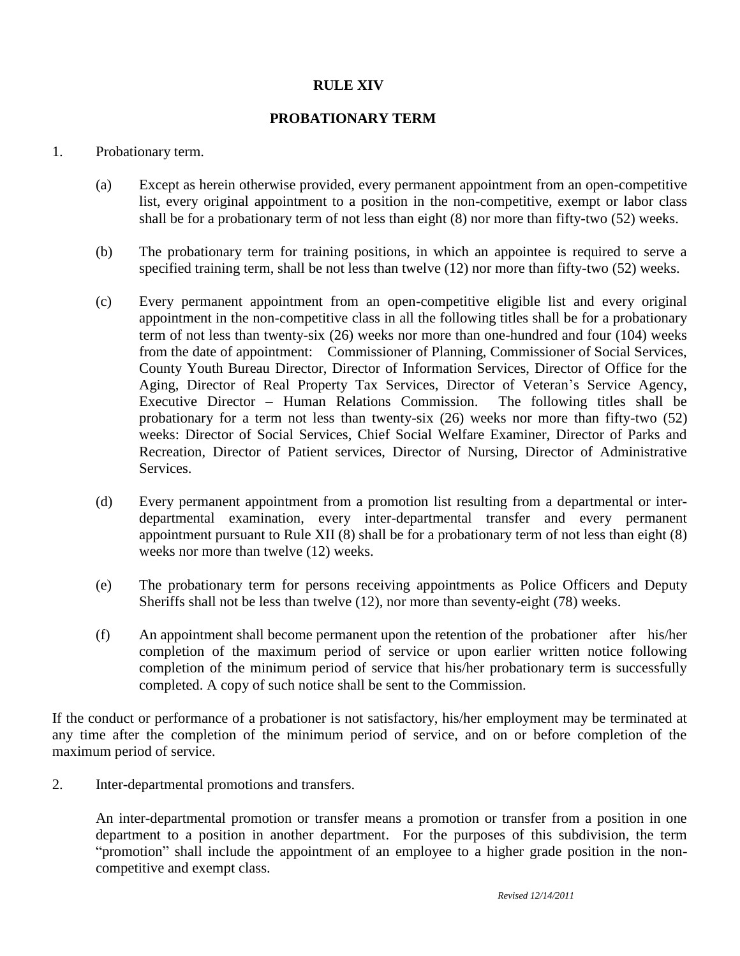# **RULE XIV**

# **PROBATIONARY TERM**

### 1. Probationary term.

- (a) Except as herein otherwise provided, every permanent appointment from an open-competitive list, every original appointment to a position in the non-competitive, exempt or labor class shall be for a probationary term of not less than eight (8) nor more than fifty-two (52) weeks.
- (b) The probationary term for training positions, in which an appointee is required to serve a specified training term, shall be not less than twelve (12) nor more than fifty-two (52) weeks.
- (c) Every permanent appointment from an open-competitive eligible list and every original appointment in the non-competitive class in all the following titles shall be for a probationary term of not less than twenty-six (26) weeks nor more than one-hundred and four (104) weeks from the date of appointment: Commissioner of Planning, Commissioner of Social Services, County Youth Bureau Director, Director of Information Services, Director of Office for the Aging, Director of Real Property Tax Services, Director of Veteran's Service Agency, Executive Director – Human Relations Commission. The following titles shall be probationary for a term not less than twenty-six (26) weeks nor more than fifty-two (52) weeks: Director of Social Services, Chief Social Welfare Examiner, Director of Parks and Recreation, Director of Patient services, Director of Nursing, Director of Administrative **Services**
- (d) Every permanent appointment from a promotion list resulting from a departmental or interdepartmental examination, every inter-departmental transfer and every permanent appointment pursuant to Rule XII (8) shall be for a probationary term of not less than eight (8) weeks nor more than twelve (12) weeks.
- (e) The probationary term for persons receiving appointments as Police Officers and Deputy Sheriffs shall not be less than twelve (12), nor more than seventy-eight (78) weeks.
- (f) An appointment shall become permanent upon the retention of the probationer after his/her completion of the maximum period of service or upon earlier written notice following completion of the minimum period of service that his/her probationary term is successfully completed. A copy of such notice shall be sent to the Commission.

If the conduct or performance of a probationer is not satisfactory, his/her employment may be terminated at any time after the completion of the minimum period of service, and on or before completion of the maximum period of service.

2. Inter-departmental promotions and transfers.

An inter-departmental promotion or transfer means a promotion or transfer from a position in one department to a position in another department. For the purposes of this subdivision, the term "promotion" shall include the appointment of an employee to a higher grade position in the noncompetitive and exempt class.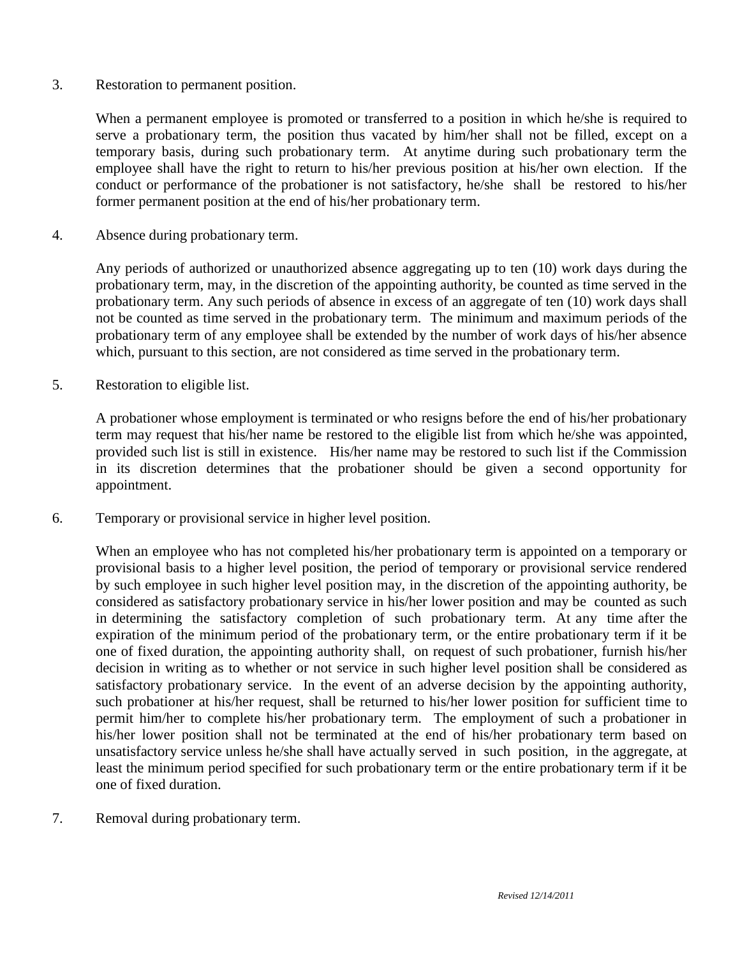3. Restoration to permanent position.

When a permanent employee is promoted or transferred to a position in which he/she is required to serve a probationary term, the position thus vacated by him/her shall not be filled, except on a temporary basis, during such probationary term. At anytime during such probationary term the employee shall have the right to return to his/her previous position at his/her own election. If the conduct or performance of the probationer is not satisfactory, he/she shall be restored to his/her former permanent position at the end of his/her probationary term.

4. Absence during probationary term.

Any periods of authorized or unauthorized absence aggregating up to ten (10) work days during the probationary term, may, in the discretion of the appointing authority, be counted as time served in the probationary term. Any such periods of absence in excess of an aggregate of ten (10) work days shall not be counted as time served in the probationary term. The minimum and maximum periods of the probationary term of any employee shall be extended by the number of work days of his/her absence which, pursuant to this section, are not considered as time served in the probationary term.

5. Restoration to eligible list.

A probationer whose employment is terminated or who resigns before the end of his/her probationary term may request that his/her name be restored to the eligible list from which he/she was appointed, provided such list is still in existence. His/her name may be restored to such list if the Commission in its discretion determines that the probationer should be given a second opportunity for appointment.

6. Temporary or provisional service in higher level position.

When an employee who has not completed his/her probationary term is appointed on a temporary or provisional basis to a higher level position, the period of temporary or provisional service rendered by such employee in such higher level position may, in the discretion of the appointing authority, be considered as satisfactory probationary service in his/her lower position and may be counted as such in determining the satisfactory completion of such probationary term. At any time after the expiration of the minimum period of the probationary term, or the entire probationary term if it be one of fixed duration, the appointing authority shall, on request of such probationer, furnish his/her decision in writing as to whether or not service in such higher level position shall be considered as satisfactory probationary service. In the event of an adverse decision by the appointing authority, such probationer at his/her request, shall be returned to his/her lower position for sufficient time to permit him/her to complete his/her probationary term. The employment of such a probationer in his/her lower position shall not be terminated at the end of his/her probationary term based on unsatisfactory service unless he/she shall have actually served in such position, in the aggregate, at least the minimum period specified for such probationary term or the entire probationary term if it be one of fixed duration.

7. Removal during probationary term.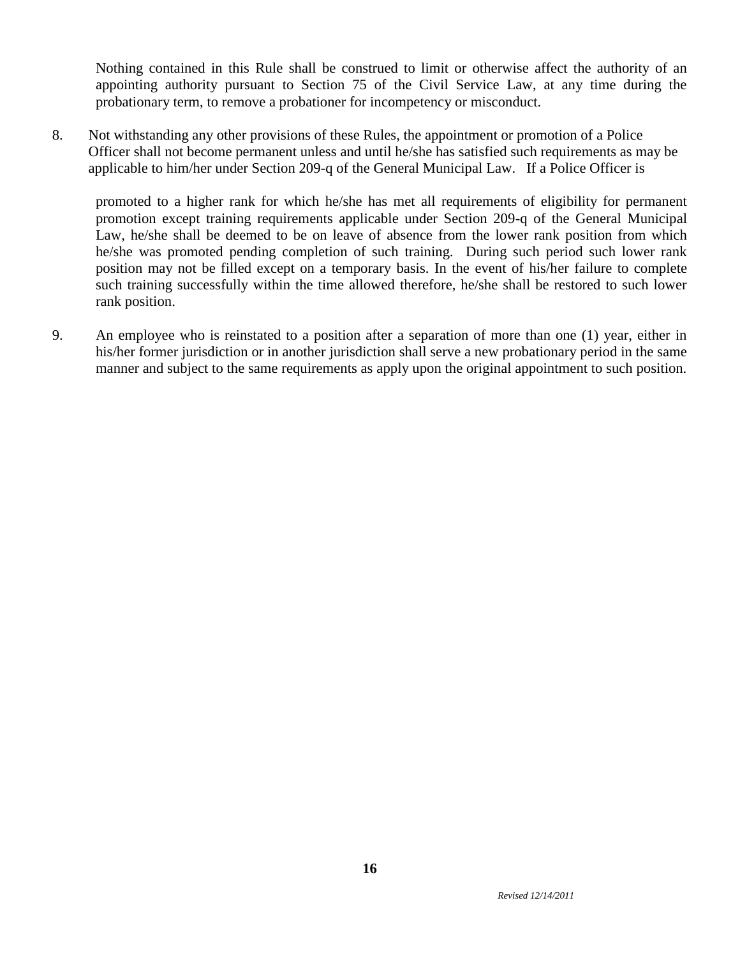Nothing contained in this Rule shall be construed to limit or otherwise affect the authority of an appointing authority pursuant to Section 75 of the Civil Service Law, at any time during the probationary term, to remove a probationer for incompetency or misconduct.

8. Not withstanding any other provisions of these Rules, the appointment or promotion of a Police Officer shall not become permanent unless and until he/she has satisfied such requirements as may be applicable to him/her under Section 209-q of the General Municipal Law. If a Police Officer is

promoted to a higher rank for which he/she has met all requirements of eligibility for permanent promotion except training requirements applicable under Section 209-q of the General Municipal Law, he/she shall be deemed to be on leave of absence from the lower rank position from which he/she was promoted pending completion of such training. During such period such lower rank position may not be filled except on a temporary basis. In the event of his/her failure to complete such training successfully within the time allowed therefore, he/she shall be restored to such lower rank position.

9. An employee who is reinstated to a position after a separation of more than one (1) year, either in his/her former jurisdiction or in another jurisdiction shall serve a new probationary period in the same manner and subject to the same requirements as apply upon the original appointment to such position.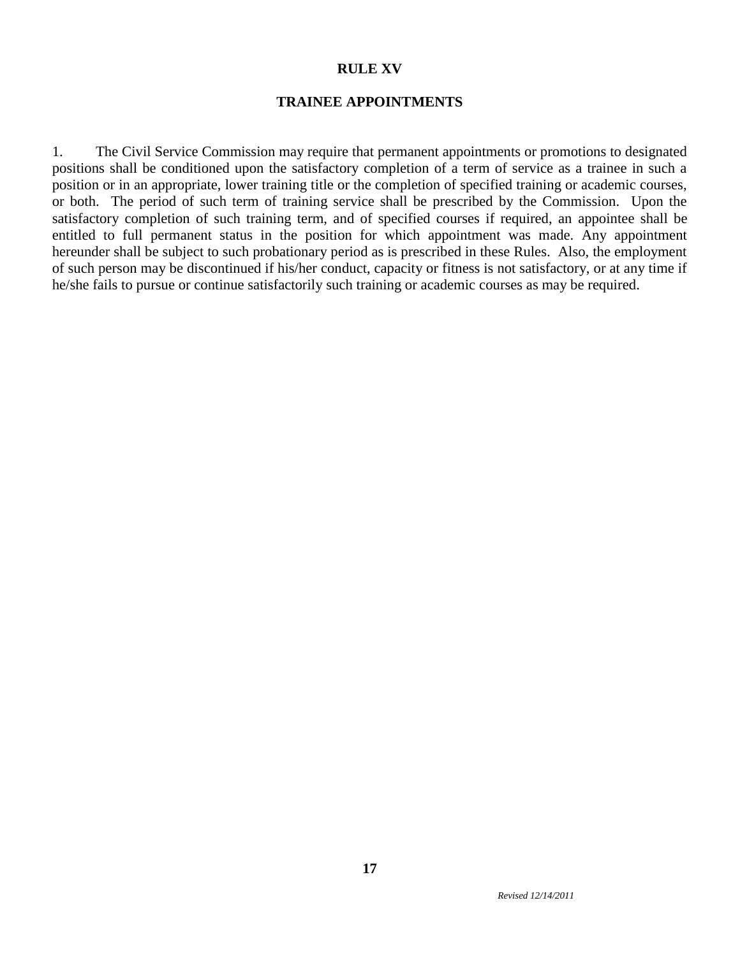### **RULE XV**

### **TRAINEE APPOINTMENTS**

1. The Civil Service Commission may require that permanent appointments or promotions to designated positions shall be conditioned upon the satisfactory completion of a term of service as a trainee in such a position or in an appropriate, lower training title or the completion of specified training or academic courses, or both. The period of such term of training service shall be prescribed by the Commission. Upon the satisfactory completion of such training term, and of specified courses if required, an appointee shall be entitled to full permanent status in the position for which appointment was made. Any appointment hereunder shall be subject to such probationary period as is prescribed in these Rules. Also, the employment of such person may be discontinued if his/her conduct, capacity or fitness is not satisfactory, or at any time if he/she fails to pursue or continue satisfactorily such training or academic courses as may be required.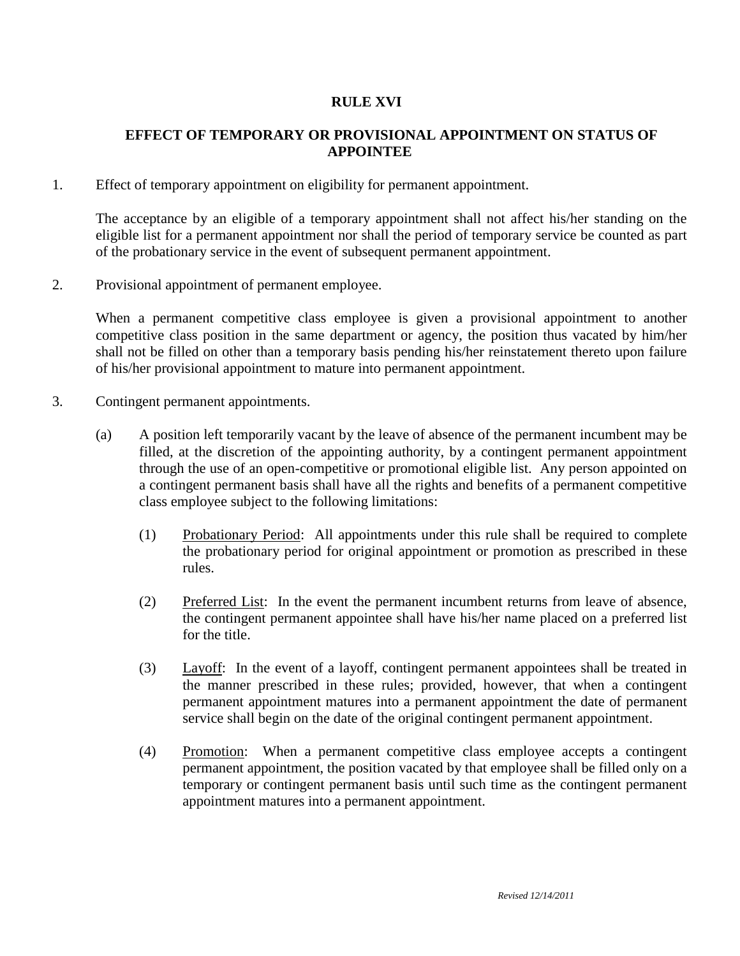# **RULE XVI**

# **EFFECT OF TEMPORARY OR PROVISIONAL APPOINTMENT ON STATUS OF APPOINTEE**

1. Effect of temporary appointment on eligibility for permanent appointment.

The acceptance by an eligible of a temporary appointment shall not affect his/her standing on the eligible list for a permanent appointment nor shall the period of temporary service be counted as part of the probationary service in the event of subsequent permanent appointment.

2. Provisional appointment of permanent employee.

When a permanent competitive class employee is given a provisional appointment to another competitive class position in the same department or agency, the position thus vacated by him/her shall not be filled on other than a temporary basis pending his/her reinstatement thereto upon failure of his/her provisional appointment to mature into permanent appointment.

- 3. Contingent permanent appointments.
	- (a) A position left temporarily vacant by the leave of absence of the permanent incumbent may be filled, at the discretion of the appointing authority, by a contingent permanent appointment through the use of an open-competitive or promotional eligible list. Any person appointed on a contingent permanent basis shall have all the rights and benefits of a permanent competitive class employee subject to the following limitations:
		- (1) Probationary Period: All appointments under this rule shall be required to complete the probationary period for original appointment or promotion as prescribed in these rules.
		- (2) Preferred List: In the event the permanent incumbent returns from leave of absence, the contingent permanent appointee shall have his/her name placed on a preferred list for the title.
		- (3) Layoff: In the event of a layoff, contingent permanent appointees shall be treated in the manner prescribed in these rules; provided, however, that when a contingent permanent appointment matures into a permanent appointment the date of permanent service shall begin on the date of the original contingent permanent appointment.
		- (4) Promotion: When a permanent competitive class employee accepts a contingent permanent appointment, the position vacated by that employee shall be filled only on a temporary or contingent permanent basis until such time as the contingent permanent appointment matures into a permanent appointment.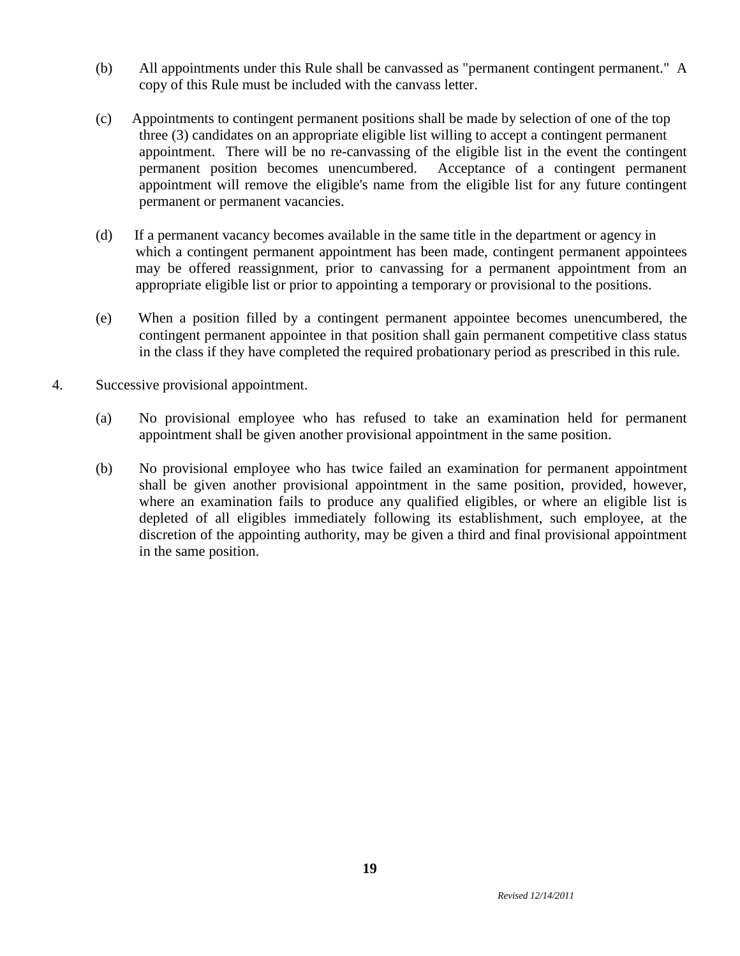- (b) All appointments under this Rule shall be canvassed as "permanent contingent permanent." A copy of this Rule must be included with the canvass letter.
- (c) Appointments to contingent permanent positions shall be made by selection of one of the top three (3) candidates on an appropriate eligible list willing to accept a contingent permanent appointment. There will be no re-canvassing of the eligible list in the event the contingent permanent position becomes unencumbered. Acceptance of a contingent permanent appointment will remove the eligible's name from the eligible list for any future contingent permanent or permanent vacancies.
- (d) If a permanent vacancy becomes available in the same title in the department or agency in which a contingent permanent appointment has been made, contingent permanent appointees may be offered reassignment, prior to canvassing for a permanent appointment from an appropriate eligible list or prior to appointing a temporary or provisional to the positions.
- (e) When a position filled by a contingent permanent appointee becomes unencumbered, the contingent permanent appointee in that position shall gain permanent competitive class status in the class if they have completed the required probationary period as prescribed in this rule.
- 4. Successive provisional appointment.
	- (a) No provisional employee who has refused to take an examination held for permanent appointment shall be given another provisional appointment in the same position.
	- (b) No provisional employee who has twice failed an examination for permanent appointment shall be given another provisional appointment in the same position, provided, however, where an examination fails to produce any qualified eligibles, or where an eligible list is depleted of all eligibles immediately following its establishment, such employee, at the discretion of the appointing authority, may be given a third and final provisional appointment in the same position.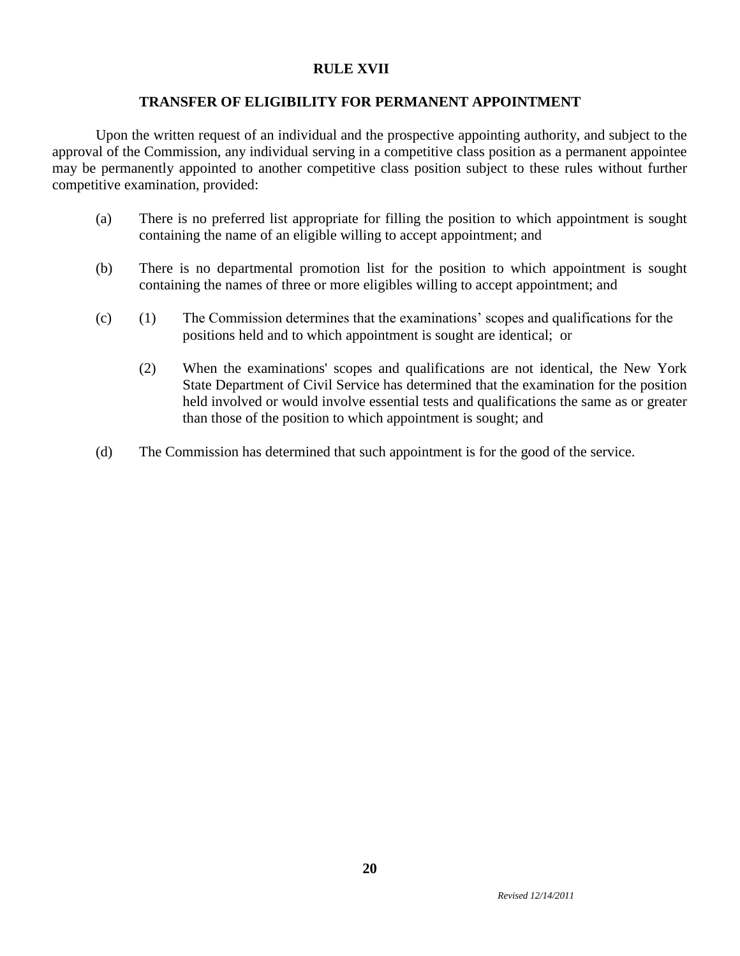### **RULE XVII**

### **TRANSFER OF ELIGIBILITY FOR PERMANENT APPOINTMENT**

Upon the written request of an individual and the prospective appointing authority, and subject to the approval of the Commission, any individual serving in a competitive class position as a permanent appointee may be permanently appointed to another competitive class position subject to these rules without further competitive examination, provided:

- (a) There is no preferred list appropriate for filling the position to which appointment is sought containing the name of an eligible willing to accept appointment; and
- (b) There is no departmental promotion list for the position to which appointment is sought containing the names of three or more eligibles willing to accept appointment; and
- (c) (1) The Commission determines that the examinations' scopes and qualifications for the positions held and to which appointment is sought are identical; or
	- (2) When the examinations' scopes and qualifications are not identical, the New York State Department of Civil Service has determined that the examination for the position held involved or would involve essential tests and qualifications the same as or greater than those of the position to which appointment is sought; and
- (d) The Commission has determined that such appointment is for the good of the service.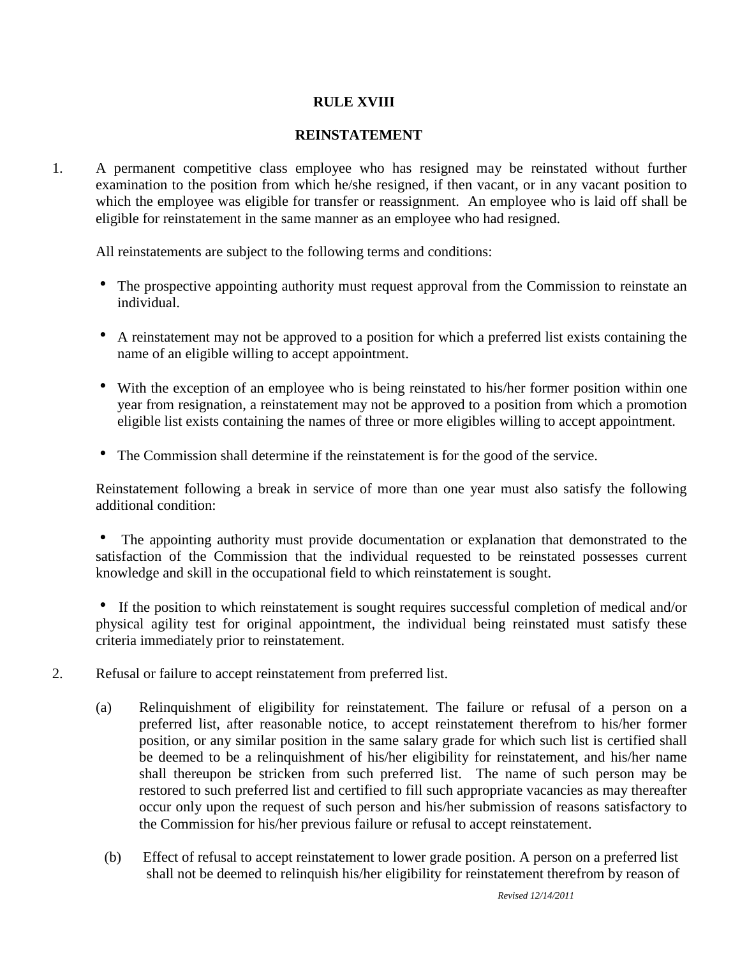# **RULE XVIII**

# **REINSTATEMENT**

1. A permanent competitive class employee who has resigned may be reinstated without further examination to the position from which he/she resigned, if then vacant, or in any vacant position to which the employee was eligible for transfer or reassignment. An employee who is laid off shall be eligible for reinstatement in the same manner as an employee who had resigned.

All reinstatements are subject to the following terms and conditions:

- The prospective appointing authority must request approval from the Commission to reinstate an individual.
- A reinstatement may not be approved to a position for which a preferred list exists containing the name of an eligible willing to accept appointment.
- With the exception of an employee who is being reinstated to his/her former position within one year from resignation, a reinstatement may not be approved to a position from which a promotion eligible list exists containing the names of three or more eligibles willing to accept appointment.
- The Commission shall determine if the reinstatement is for the good of the service.

Reinstatement following a break in service of more than one year must also satisfy the following additional condition:

 The appointing authority must provide documentation or explanation that demonstrated to the satisfaction of the Commission that the individual requested to be reinstated possesses current knowledge and skill in the occupational field to which reinstatement is sought.

 If the position to which reinstatement is sought requires successful completion of medical and/or physical agility test for original appointment, the individual being reinstated must satisfy these criteria immediately prior to reinstatement.

- 2. Refusal or failure to accept reinstatement from preferred list.
	- (a) Relinquishment of eligibility for reinstatement. The failure or refusal of a person on a preferred list, after reasonable notice, to accept reinstatement therefrom to his/her former position, or any similar position in the same salary grade for which such list is certified shall be deemed to be a relinquishment of his/her eligibility for reinstatement, and his/her name shall thereupon be stricken from such preferred list. The name of such person may be restored to such preferred list and certified to fill such appropriate vacancies as may thereafter occur only upon the request of such person and his/her submission of reasons satisfactory to the Commission for his/her previous failure or refusal to accept reinstatement.
		- (b) Effect of refusal to accept reinstatement to lower grade position. A person on a preferred list shall not be deemed to relinquish his/her eligibility for reinstatement therefrom by reason of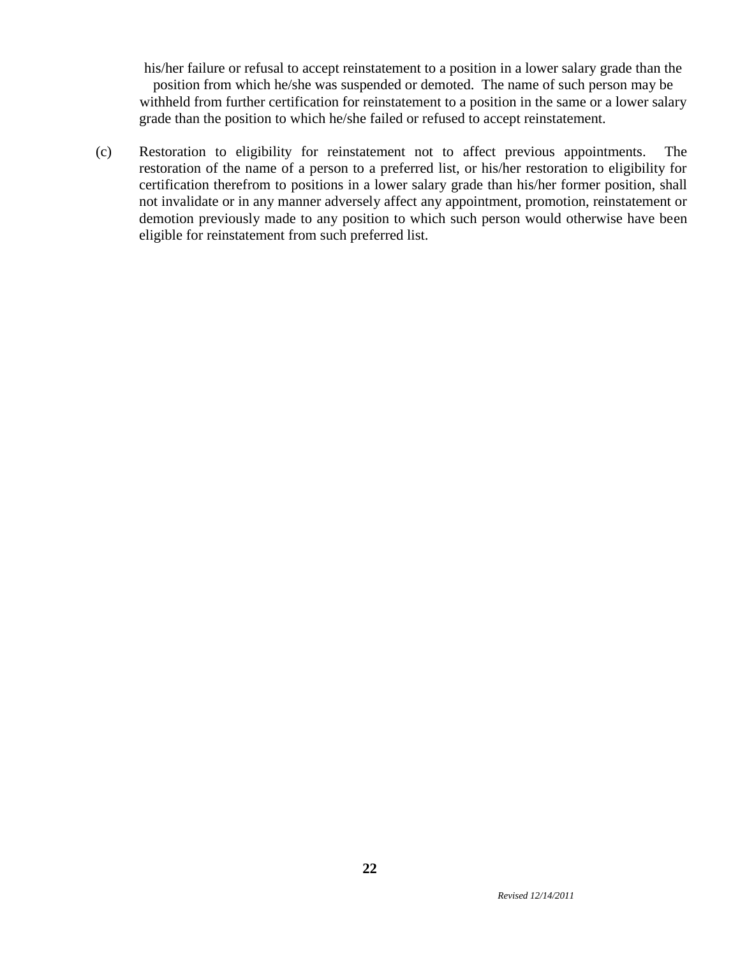his/her failure or refusal to accept reinstatement to a position in a lower salary grade than the position from which he/she was suspended or demoted. The name of such person may be withheld from further certification for reinstatement to a position in the same or a lower salary grade than the position to which he/she failed or refused to accept reinstatement.

(c) Restoration to eligibility for reinstatement not to affect previous appointments. The restoration of the name of a person to a preferred list, or his/her restoration to eligibility for certification therefrom to positions in a lower salary grade than his/her former position, shall not invalidate or in any manner adversely affect any appointment, promotion, reinstatement or demotion previously made to any position to which such person would otherwise have been eligible for reinstatement from such preferred list.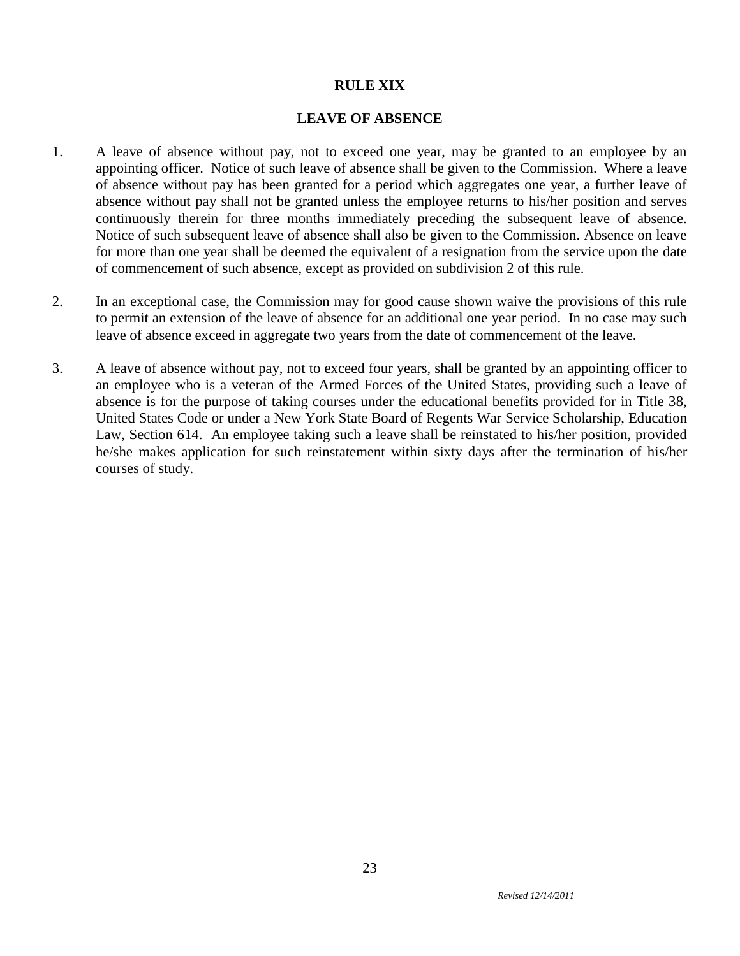# **RULE XIX**

### **LEAVE OF ABSENCE**

- 1. A leave of absence without pay, not to exceed one year, may be granted to an employee by an appointing officer. Notice of such leave of absence shall be given to the Commission. Where a leave of absence without pay has been granted for a period which aggregates one year, a further leave of absence without pay shall not be granted unless the employee returns to his/her position and serves continuously therein for three months immediately preceding the subsequent leave of absence. Notice of such subsequent leave of absence shall also be given to the Commission. Absence on leave for more than one year shall be deemed the equivalent of a resignation from the service upon the date of commencement of such absence, except as provided on subdivision 2 of this rule.
- 2. In an exceptional case, the Commission may for good cause shown waive the provisions of this rule to permit an extension of the leave of absence for an additional one year period. In no case may such leave of absence exceed in aggregate two years from the date of commencement of the leave.
- 3. A leave of absence without pay, not to exceed four years, shall be granted by an appointing officer to an employee who is a veteran of the Armed Forces of the United States, providing such a leave of absence is for the purpose of taking courses under the educational benefits provided for in Title 38, United States Code or under a New York State Board of Regents War Service Scholarship, Education Law, Section 614. An employee taking such a leave shall be reinstated to his/her position, provided he/she makes application for such reinstatement within sixty days after the termination of his/her courses of study.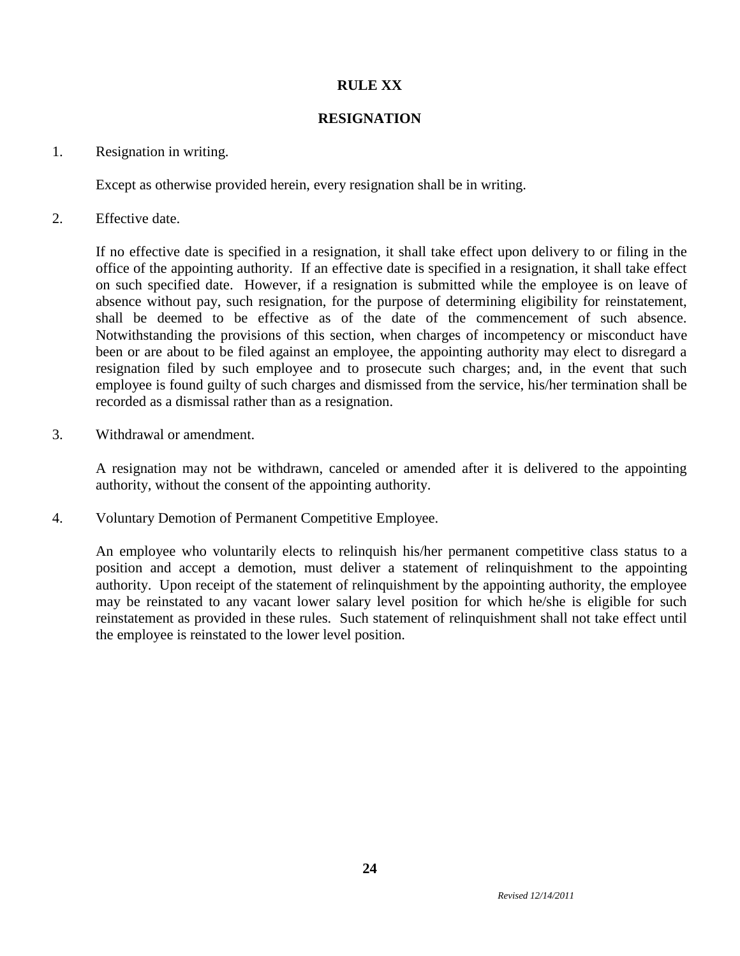# **RULE XX**

## **RESIGNATION**

### 1. Resignation in writing.

Except as otherwise provided herein, every resignation shall be in writing.

2. Effective date.

If no effective date is specified in a resignation, it shall take effect upon delivery to or filing in the office of the appointing authority. If an effective date is specified in a resignation, it shall take effect on such specified date. However, if a resignation is submitted while the employee is on leave of absence without pay, such resignation, for the purpose of determining eligibility for reinstatement, shall be deemed to be effective as of the date of the commencement of such absence. Notwithstanding the provisions of this section, when charges of incompetency or misconduct have been or are about to be filed against an employee, the appointing authority may elect to disregard a resignation filed by such employee and to prosecute such charges; and, in the event that such employee is found guilty of such charges and dismissed from the service, his/her termination shall be recorded as a dismissal rather than as a resignation.

3. Withdrawal or amendment.

A resignation may not be withdrawn, canceled or amended after it is delivered to the appointing authority, without the consent of the appointing authority.

4. Voluntary Demotion of Permanent Competitive Employee.

An employee who voluntarily elects to relinquish his/her permanent competitive class status to a position and accept a demotion, must deliver a statement of relinquishment to the appointing authority. Upon receipt of the statement of relinquishment by the appointing authority, the employee may be reinstated to any vacant lower salary level position for which he/she is eligible for such reinstatement as provided in these rules. Such statement of relinquishment shall not take effect until the employee is reinstated to the lower level position.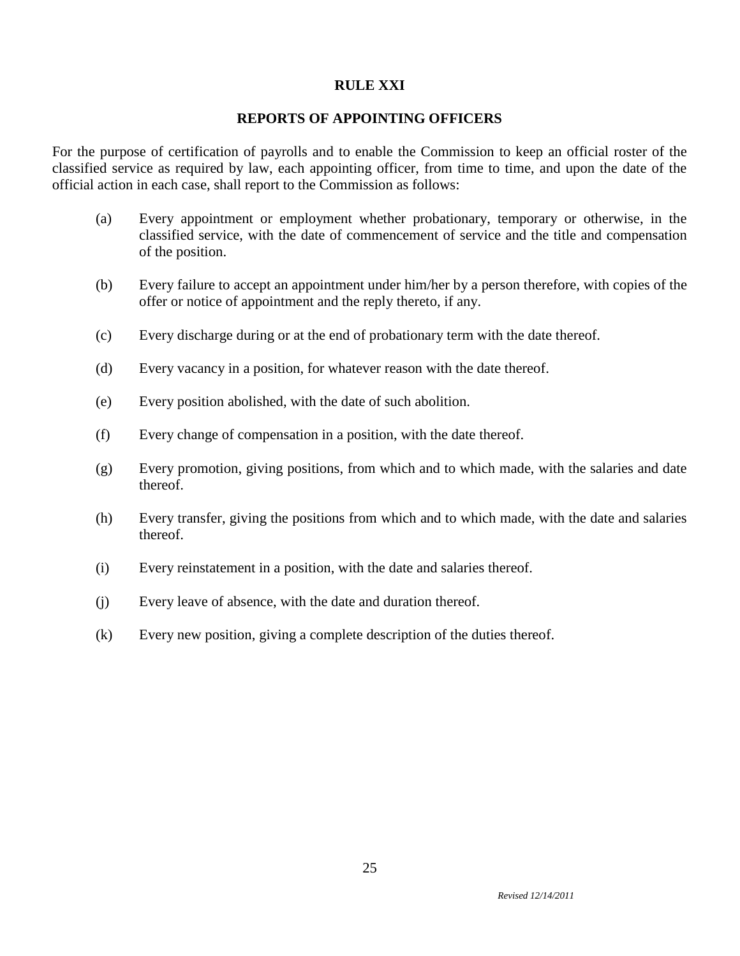# **RULE XXI**

### **REPORTS OF APPOINTING OFFICERS**

For the purpose of certification of payrolls and to enable the Commission to keep an official roster of the classified service as required by law, each appointing officer, from time to time, and upon the date of the official action in each case, shall report to the Commission as follows:

- (a) Every appointment or employment whether probationary, temporary or otherwise, in the classified service, with the date of commencement of service and the title and compensation of the position.
- (b) Every failure to accept an appointment under him/her by a person therefore, with copies of the offer or notice of appointment and the reply thereto, if any.
- (c) Every discharge during or at the end of probationary term with the date thereof.
- (d) Every vacancy in a position, for whatever reason with the date thereof.
- (e) Every position abolished, with the date of such abolition.
- (f) Every change of compensation in a position, with the date thereof.
- (g) Every promotion, giving positions, from which and to which made, with the salaries and date thereof.
- (h) Every transfer, giving the positions from which and to which made, with the date and salaries thereof.
- (i) Every reinstatement in a position, with the date and salaries thereof.
- (j) Every leave of absence, with the date and duration thereof.
- (k) Every new position, giving a complete description of the duties thereof.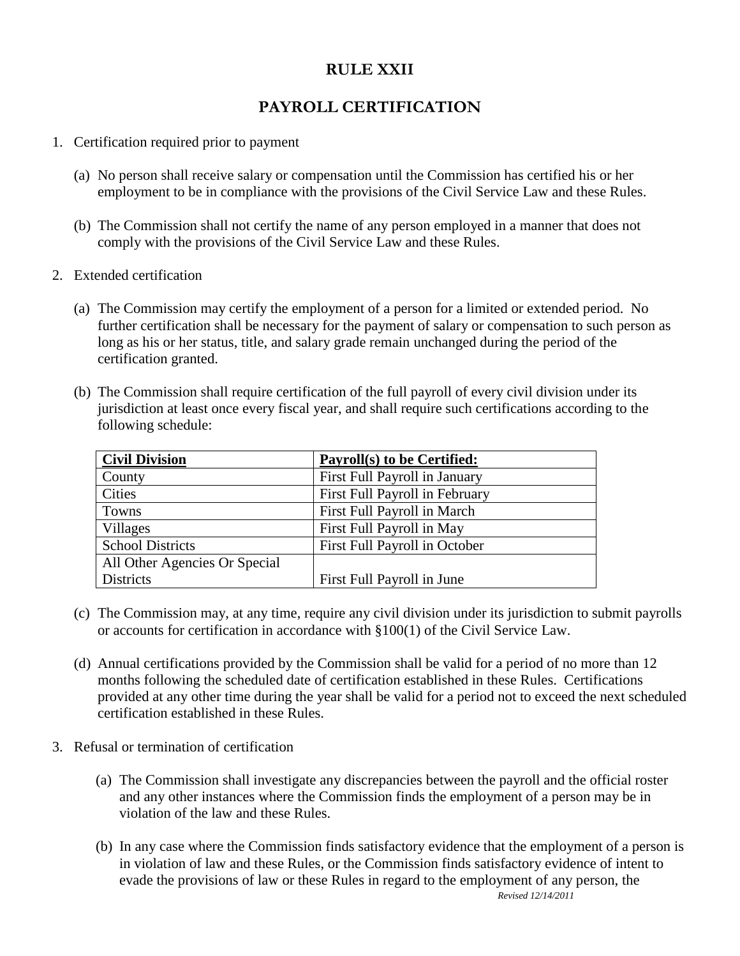# **RULE XXII**

# **PAYROLL CERTIFICATION**

- 1. Certification required prior to payment
	- (a) No person shall receive salary or compensation until the Commission has certified his or her employment to be in compliance with the provisions of the Civil Service Law and these Rules.
	- (b) The Commission shall not certify the name of any person employed in a manner that does not comply with the provisions of the Civil Service Law and these Rules.
- 2. Extended certification
	- (a) The Commission may certify the employment of a person for a limited or extended period. No further certification shall be necessary for the payment of salary or compensation to such person as long as his or her status, title, and salary grade remain unchanged during the period of the certification granted.
	- (b) The Commission shall require certification of the full payroll of every civil division under its jurisdiction at least once every fiscal year, and shall require such certifications according to the following schedule:

| <b>Civil Division</b>         | <b>Payroll(s) to be Certified:</b> |
|-------------------------------|------------------------------------|
| County                        | First Full Payroll in January      |
| Cities                        | First Full Payroll in February     |
| Towns                         | First Full Payroll in March        |
| Villages                      | First Full Payroll in May          |
| <b>School Districts</b>       | First Full Payroll in October      |
| All Other Agencies Or Special |                                    |
| <b>Districts</b>              | First Full Payroll in June         |

- (c) The Commission may, at any time, require any civil division under its jurisdiction to submit payrolls or accounts for certification in accordance with §100(1) of the Civil Service Law.
- (d) Annual certifications provided by the Commission shall be valid for a period of no more than 12 months following the scheduled date of certification established in these Rules. Certifications provided at any other time during the year shall be valid for a period not to exceed the next scheduled certification established in these Rules.
- 3. Refusal or termination of certification
	- (a) The Commission shall investigate any discrepancies between the payroll and the official roster and any other instances where the Commission finds the employment of a person may be in violation of the law and these Rules.
	- *Revised 12/14/2011* (b) In any case where the Commission finds satisfactory evidence that the employment of a person is in violation of law and these Rules, or the Commission finds satisfactory evidence of intent to evade the provisions of law or these Rules in regard to the employment of any person, the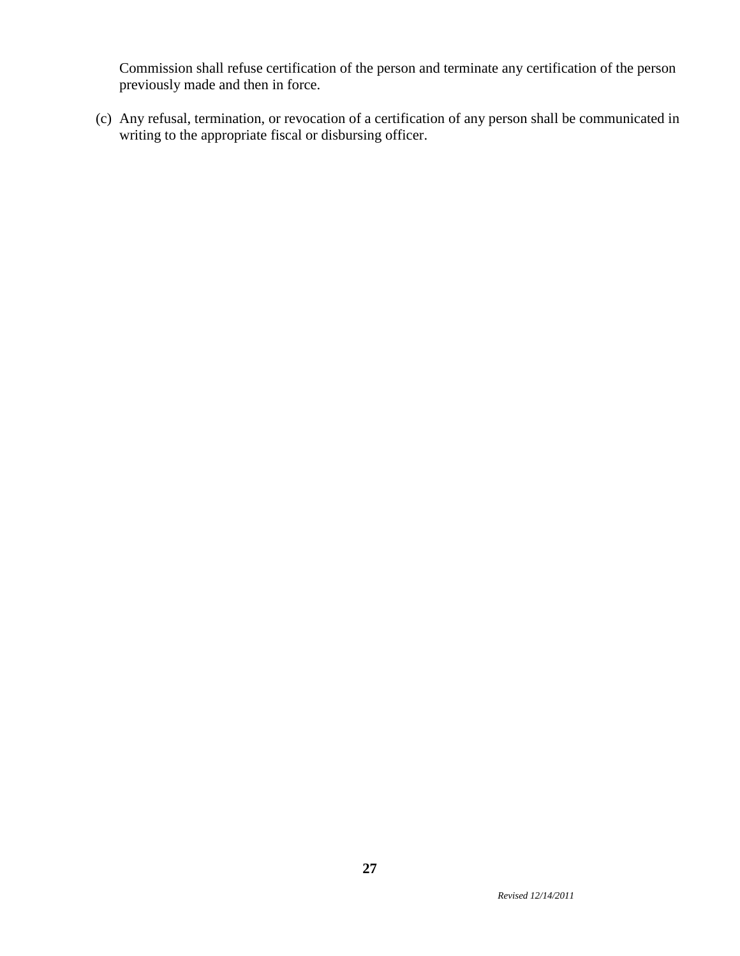Commission shall refuse certification of the person and terminate any certification of the person previously made and then in force.

(c) Any refusal, termination, or revocation of a certification of any person shall be communicated in writing to the appropriate fiscal or disbursing officer.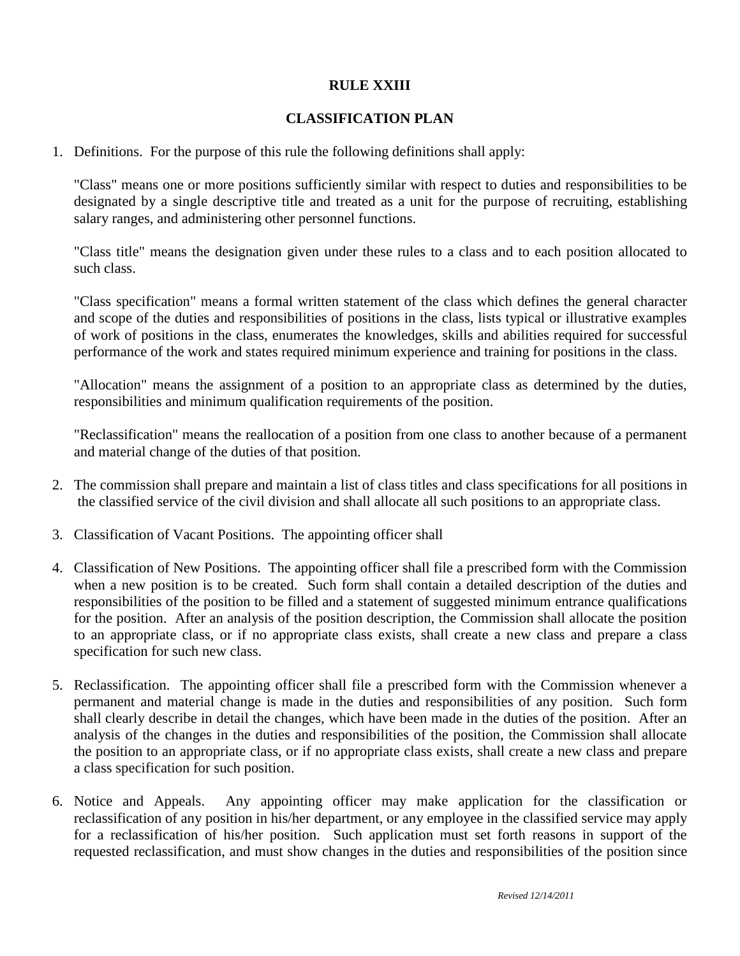# **RULE XXIII**

# **CLASSIFICATION PLAN**

1. Definitions. For the purpose of this rule the following definitions shall apply:

"Class" means one or more positions sufficiently similar with respect to duties and responsibilities to be designated by a single descriptive title and treated as a unit for the purpose of recruiting, establishing salary ranges, and administering other personnel functions.

"Class title" means the designation given under these rules to a class and to each position allocated to such class.

"Class specification" means a formal written statement of the class which defines the general character and scope of the duties and responsibilities of positions in the class, lists typical or illustrative examples of work of positions in the class, enumerates the knowledges, skills and abilities required for successful performance of the work and states required minimum experience and training for positions in the class.

"Allocation" means the assignment of a position to an appropriate class as determined by the duties, responsibilities and minimum qualification requirements of the position.

"Reclassification" means the reallocation of a position from one class to another because of a permanent and material change of the duties of that position.

- 2. The commission shall prepare and maintain a list of class titles and class specifications for all positions in the classified service of the civil division and shall allocate all such positions to an appropriate class.
- 3. Classification of Vacant Positions. The appointing officer shall
- 4. Classification of New Positions. The appointing officer shall file a prescribed form with the Commission when a new position is to be created. Such form shall contain a detailed description of the duties and responsibilities of the position to be filled and a statement of suggested minimum entrance qualifications for the position. After an analysis of the position description, the Commission shall allocate the position to an appropriate class, or if no appropriate class exists, shall create a new class and prepare a class specification for such new class.
- 5. Reclassification. The appointing officer shall file a prescribed form with the Commission whenever a permanent and material change is made in the duties and responsibilities of any position. Such form shall clearly describe in detail the changes, which have been made in the duties of the position. After an analysis of the changes in the duties and responsibilities of the position, the Commission shall allocate the position to an appropriate class, or if no appropriate class exists, shall create a new class and prepare a class specification for such position.
- 6. Notice and Appeals. Any appointing officer may make application for the classification or reclassification of any position in his/her department, or any employee in the classified service may apply for a reclassification of his/her position. Such application must set forth reasons in support of the requested reclassification, and must show changes in the duties and responsibilities of the position since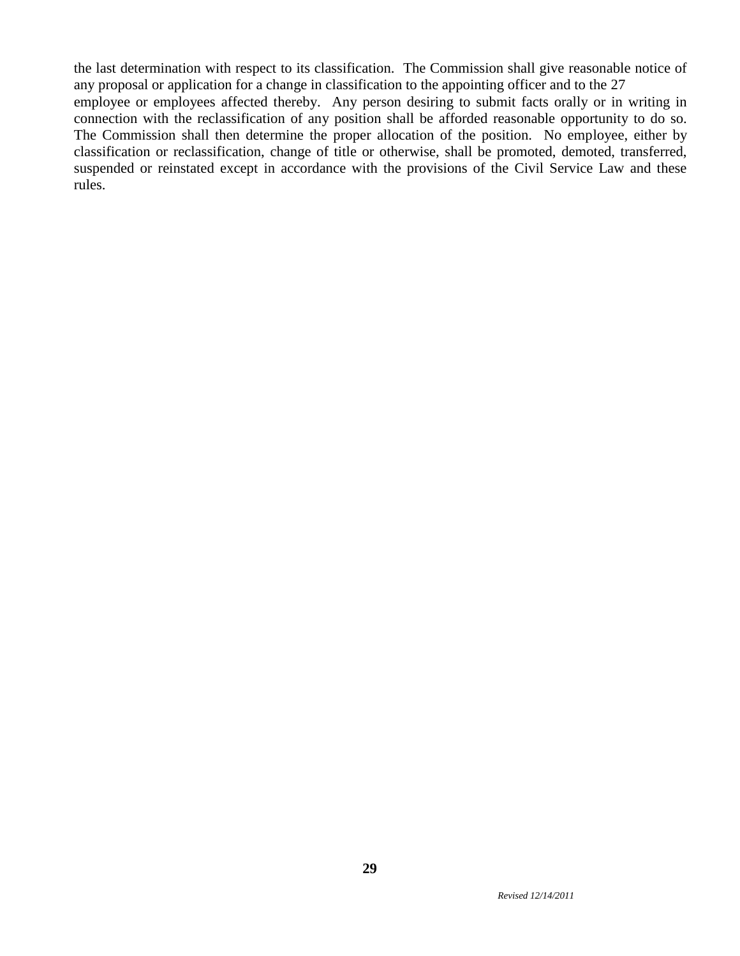the last determination with respect to its classification. The Commission shall give reasonable notice of any proposal or application for a change in classification to the appointing officer and to the 27 employee or employees affected thereby. Any person desiring to submit facts orally or in writing in connection with the reclassification of any position shall be afforded reasonable opportunity to do so. The Commission shall then determine the proper allocation of the position. No employee, either by classification or reclassification, change of title or otherwise, shall be promoted, demoted, transferred, suspended or reinstated except in accordance with the provisions of the Civil Service Law and these rules.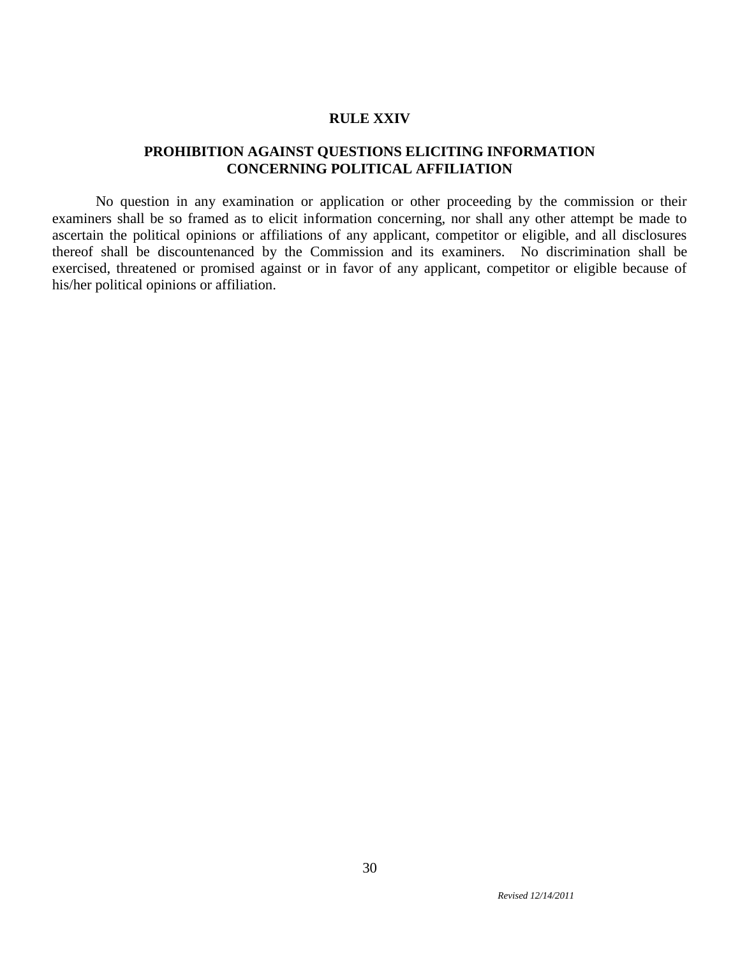#### **RULE XXIV**

# **PROHIBITION AGAINST QUESTIONS ELICITING INFORMATION CONCERNING POLITICAL AFFILIATION**

No question in any examination or application or other proceeding by the commission or their examiners shall be so framed as to elicit information concerning, nor shall any other attempt be made to ascertain the political opinions or affiliations of any applicant, competitor or eligible, and all disclosures thereof shall be discountenanced by the Commission and its examiners. No discrimination shall be exercised, threatened or promised against or in favor of any applicant, competitor or eligible because of his/her political opinions or affiliation.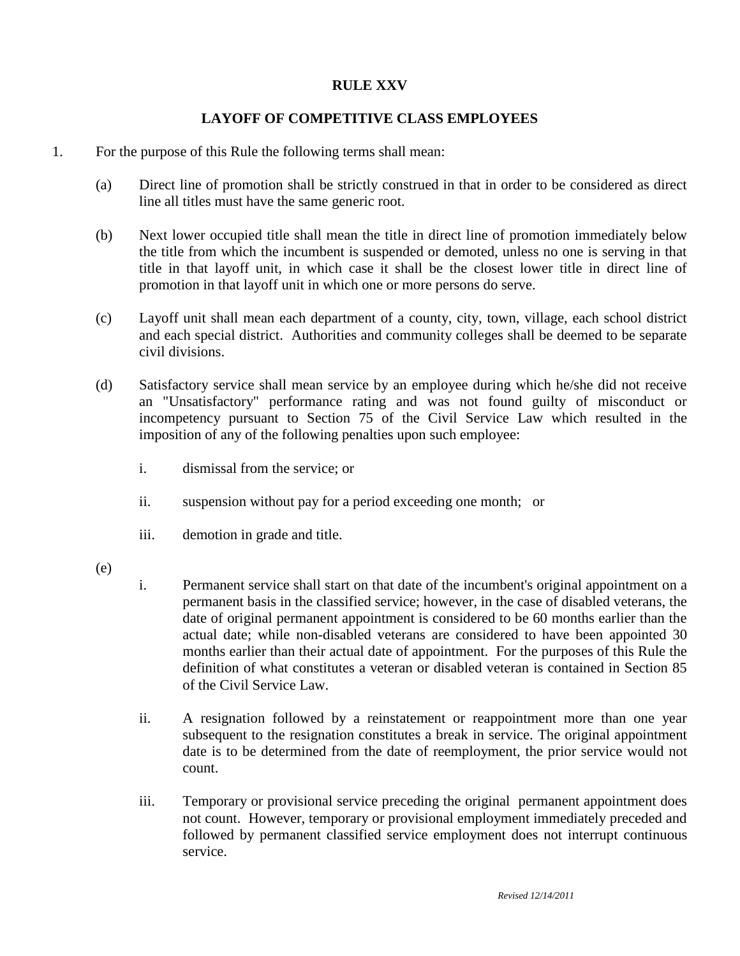# **RULE XXV**

# **LAYOFF OF COMPETITIVE CLASS EMPLOYEES**

- 1. For the purpose of this Rule the following terms shall mean:
	- (a) Direct line of promotion shall be strictly construed in that in order to be considered as direct line all titles must have the same generic root.
	- (b) Next lower occupied title shall mean the title in direct line of promotion immediately below the title from which the incumbent is suspended or demoted, unless no one is serving in that title in that layoff unit, in which case it shall be the closest lower title in direct line of promotion in that layoff unit in which one or more persons do serve.
	- (c) Layoff unit shall mean each department of a county, city, town, village, each school district and each special district. Authorities and community colleges shall be deemed to be separate civil divisions.
	- (d) Satisfactory service shall mean service by an employee during which he/she did not receive an "Unsatisfactory" performance rating and was not found guilty of misconduct or incompetency pursuant to Section 75 of the Civil Service Law which resulted in the imposition of any of the following penalties upon such employee:
		- i. dismissal from the service; or
		- ii. suspension without pay for a period exceeding one month; or
		- iii. demotion in grade and title.
	- (e)
- i. Permanent service shall start on that date of the incumbent's original appointment on a permanent basis in the classified service; however, in the case of disabled veterans, the date of original permanent appointment is considered to be 60 months earlier than the actual date; while non-disabled veterans are considered to have been appointed 30 months earlier than their actual date of appointment. For the purposes of this Rule the definition of what constitutes a veteran or disabled veteran is contained in Section 85 of the Civil Service Law.
- ii. A resignation followed by a reinstatement or reappointment more than one year subsequent to the resignation constitutes a break in service. The original appointment date is to be determined from the date of reemployment, the prior service would not count.
- iii. Temporary or provisional service preceding the original permanent appointment does not count. However, temporary or provisional employment immediately preceded and followed by permanent classified service employment does not interrupt continuous service.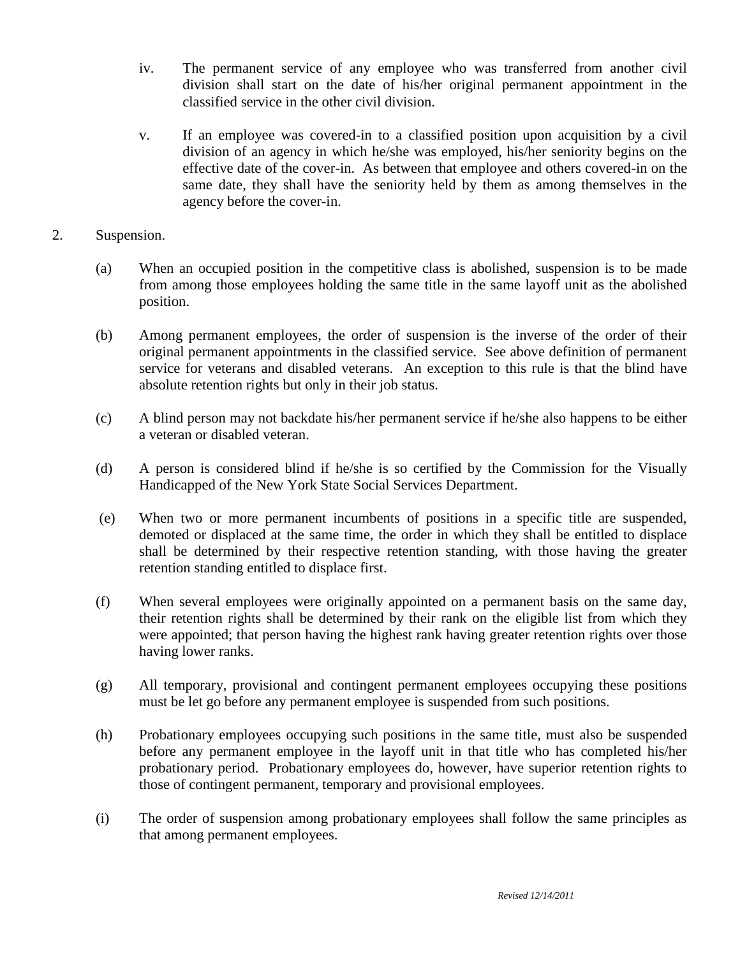- iv. The permanent service of any employee who was transferred from another civil division shall start on the date of his/her original permanent appointment in the classified service in the other civil division.
- v. If an employee was covered-in to a classified position upon acquisition by a civil division of an agency in which he/she was employed, his/her seniority begins on the effective date of the cover-in. As between that employee and others covered-in on the same date, they shall have the seniority held by them as among themselves in the agency before the cover-in.
- 2. Suspension.
	- (a) When an occupied position in the competitive class is abolished, suspension is to be made from among those employees holding the same title in the same layoff unit as the abolished position.
	- (b) Among permanent employees, the order of suspension is the inverse of the order of their original permanent appointments in the classified service. See above definition of permanent service for veterans and disabled veterans. An exception to this rule is that the blind have absolute retention rights but only in their job status.
	- (c) A blind person may not backdate his/her permanent service if he/she also happens to be either a veteran or disabled veteran.
	- (d) A person is considered blind if he/she is so certified by the Commission for the Visually Handicapped of the New York State Social Services Department.
	- (e) When two or more permanent incumbents of positions in a specific title are suspended, demoted or displaced at the same time, the order in which they shall be entitled to displace shall be determined by their respective retention standing, with those having the greater retention standing entitled to displace first.
	- (f) When several employees were originally appointed on a permanent basis on the same day, their retention rights shall be determined by their rank on the eligible list from which they were appointed; that person having the highest rank having greater retention rights over those having lower ranks.
	- (g) All temporary, provisional and contingent permanent employees occupying these positions must be let go before any permanent employee is suspended from such positions.
	- (h) Probationary employees occupying such positions in the same title, must also be suspended before any permanent employee in the layoff unit in that title who has completed his/her probationary period. Probationary employees do, however, have superior retention rights to those of contingent permanent, temporary and provisional employees.
	- (i) The order of suspension among probationary employees shall follow the same principles as that among permanent employees.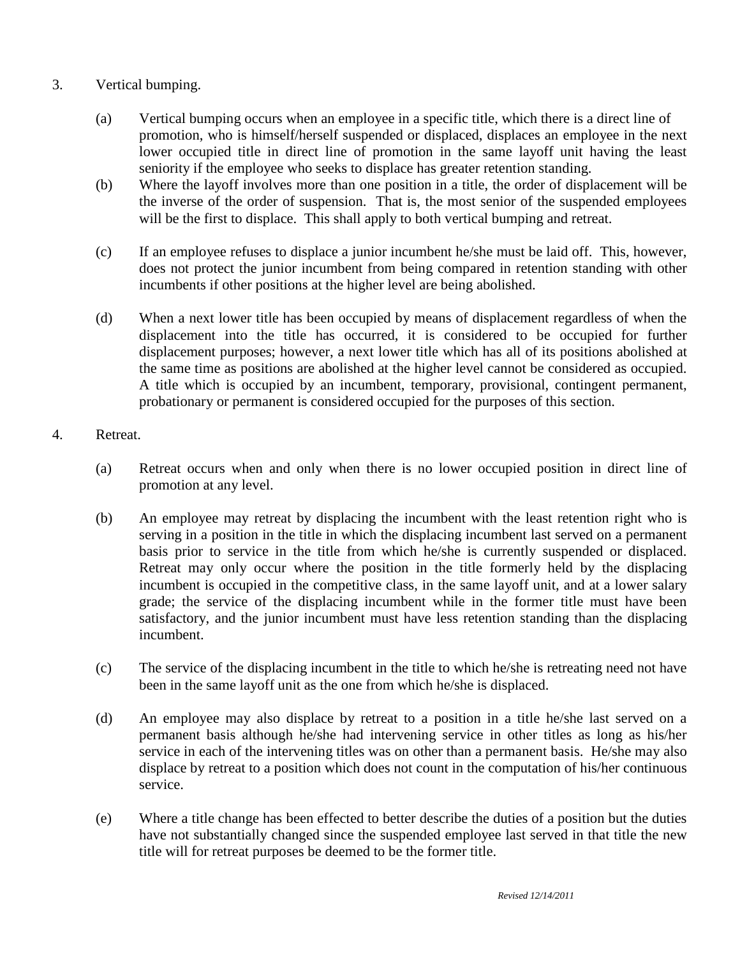# 3. Vertical bumping.

- (a) Vertical bumping occurs when an employee in a specific title, which there is a direct line of promotion, who is himself/herself suspended or displaced, displaces an employee in the next lower occupied title in direct line of promotion in the same layoff unit having the least seniority if the employee who seeks to displace has greater retention standing.
- (b) Where the layoff involves more than one position in a title, the order of displacement will be the inverse of the order of suspension. That is, the most senior of the suspended employees will be the first to displace. This shall apply to both vertical bumping and retreat.
- (c) If an employee refuses to displace a junior incumbent he/she must be laid off. This, however, does not protect the junior incumbent from being compared in retention standing with other incumbents if other positions at the higher level are being abolished.
- (d) When a next lower title has been occupied by means of displacement regardless of when the displacement into the title has occurred, it is considered to be occupied for further displacement purposes; however, a next lower title which has all of its positions abolished at the same time as positions are abolished at the higher level cannot be considered as occupied. A title which is occupied by an incumbent, temporary, provisional, contingent permanent, probationary or permanent is considered occupied for the purposes of this section.

# 4. Retreat.

- (a) Retreat occurs when and only when there is no lower occupied position in direct line of promotion at any level.
- (b) An employee may retreat by displacing the incumbent with the least retention right who is serving in a position in the title in which the displacing incumbent last served on a permanent basis prior to service in the title from which he/she is currently suspended or displaced. Retreat may only occur where the position in the title formerly held by the displacing incumbent is occupied in the competitive class, in the same layoff unit, and at a lower salary grade; the service of the displacing incumbent while in the former title must have been satisfactory, and the junior incumbent must have less retention standing than the displacing incumbent.
- (c) The service of the displacing incumbent in the title to which he/she is retreating need not have been in the same layoff unit as the one from which he/she is displaced.
- (d) An employee may also displace by retreat to a position in a title he/she last served on a permanent basis although he/she had intervening service in other titles as long as his/her service in each of the intervening titles was on other than a permanent basis. He/she may also displace by retreat to a position which does not count in the computation of his/her continuous service.
- (e) Where a title change has been effected to better describe the duties of a position but the duties have not substantially changed since the suspended employee last served in that title the new title will for retreat purposes be deemed to be the former title.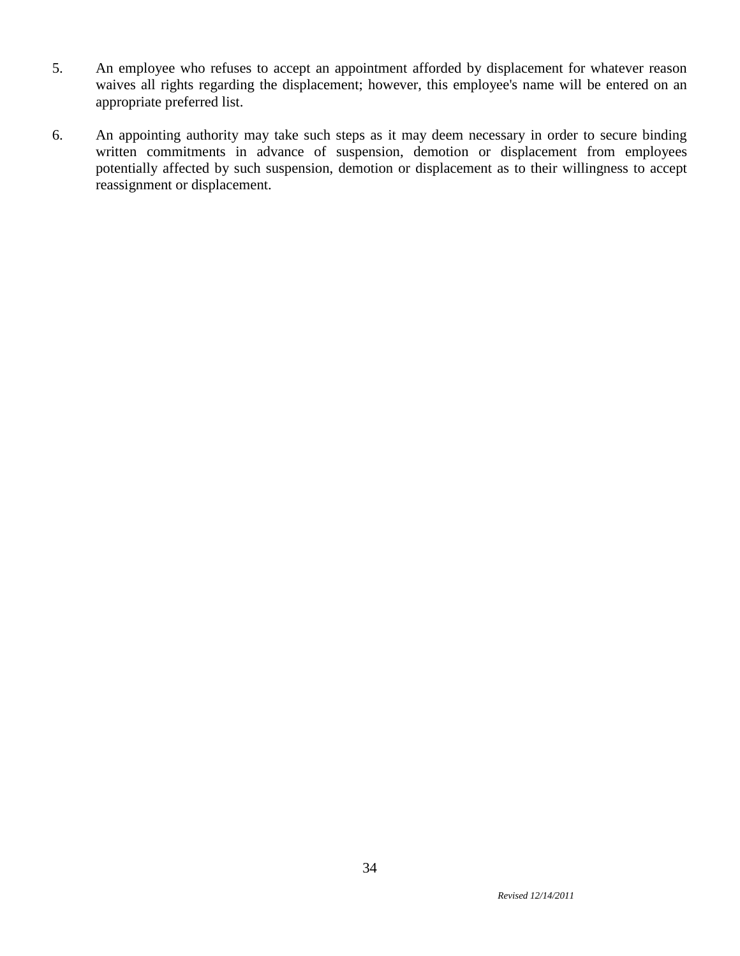- 5. An employee who refuses to accept an appointment afforded by displacement for whatever reason waives all rights regarding the displacement; however, this employee's name will be entered on an appropriate preferred list.
- 6. An appointing authority may take such steps as it may deem necessary in order to secure binding written commitments in advance of suspension, demotion or displacement from employees potentially affected by such suspension, demotion or displacement as to their willingness to accept reassignment or displacement.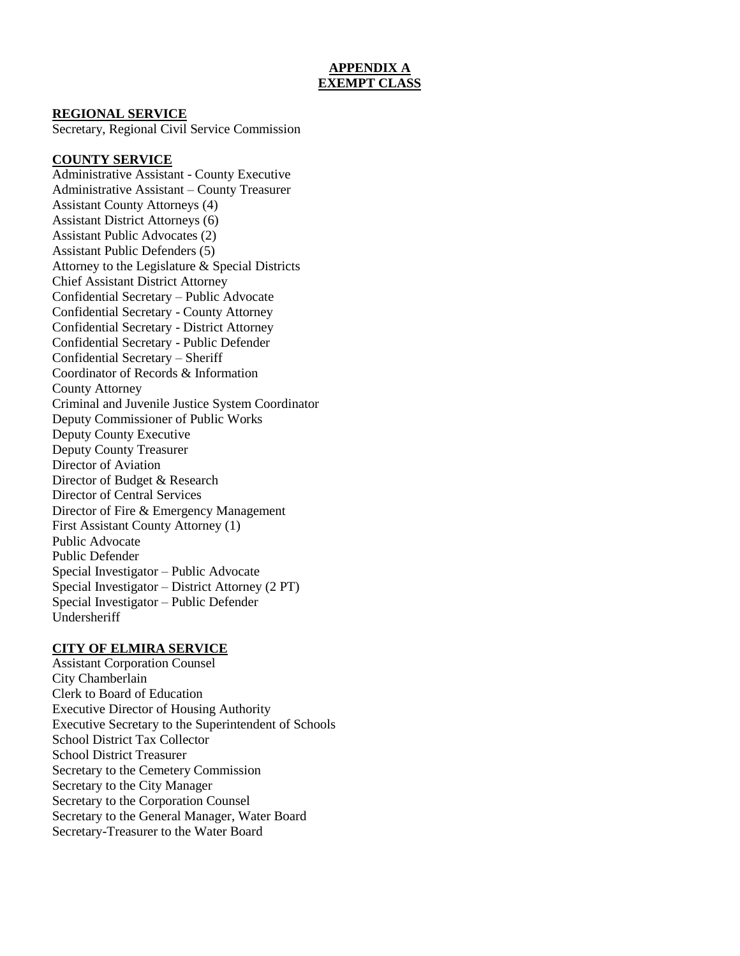## **APPENDIX A EXEMPT CLASS**

#### **REGIONAL SERVICE**

Secretary, Regional Civil Service Commission

#### **COUNTY SERVICE**

Administrative Assistant - County Executive Administrative Assistant – County Treasurer Assistant County Attorneys (4) Assistant District Attorneys (6) Assistant Public Advocates (2) Assistant Public Defenders (5) Attorney to the Legislature & Special Districts Chief Assistant District Attorney Confidential Secretary – Public Advocate Confidential Secretary - County Attorney Confidential Secretary - District Attorney Confidential Secretary - Public Defender Confidential Secretary – Sheriff Coordinator of Records & Information County Attorney Criminal and Juvenile Justice System Coordinator Deputy Commissioner of Public Works Deputy County Executive Deputy County Treasurer Director of Aviation Director of Budget & Research Director of Central Services Director of Fire & Emergency Management First Assistant County Attorney (1) Public Advocate Public Defender Special Investigator – Public Advocate Special Investigator – District Attorney (2 PT) Special Investigator – Public Defender Undersheriff

#### **CITY OF ELMIRA SERVICE**

Assistant Corporation Counsel City Chamberlain Clerk to Board of Education Executive Director of Housing Authority Executive Secretary to the Superintendent of Schools School District Tax Collector School District Treasurer Secretary to the Cemetery Commission Secretary to the City Manager Secretary to the Corporation Counsel Secretary to the General Manager, Water Board Secretary-Treasurer to the Water Board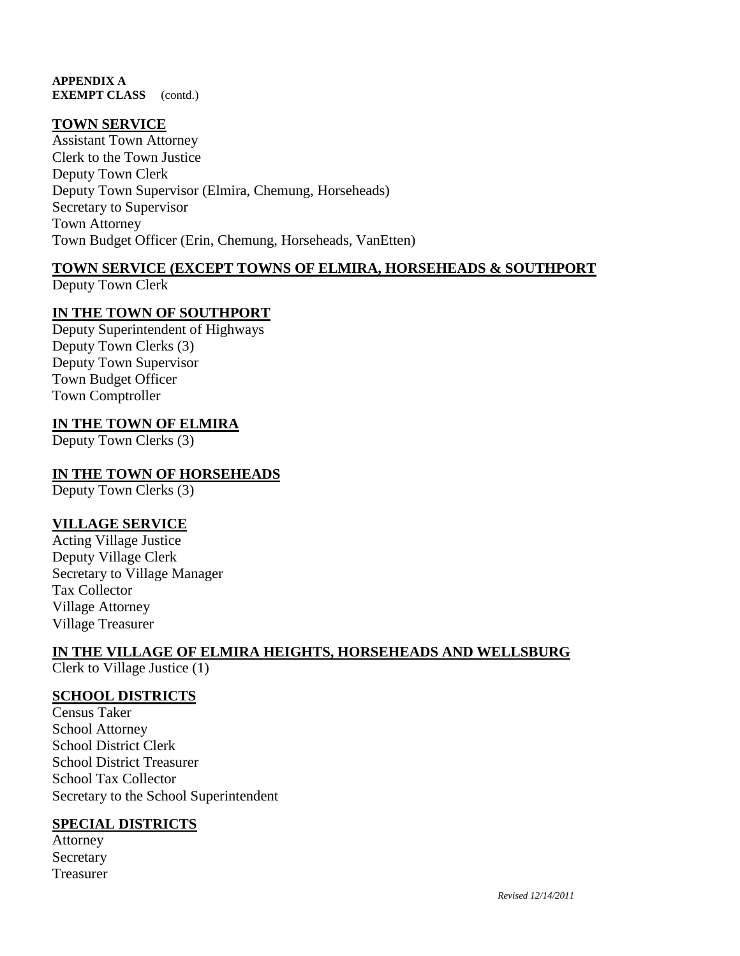**APPENDIX A EXEMPT CLASS** (contd.)

# **TOWN SERVICE**

Assistant Town Attorney Clerk to the Town Justice Deputy Town Clerk Deputy Town Supervisor (Elmira, Chemung, Horseheads) Secretary to Supervisor Town Attorney Town Budget Officer (Erin, Chemung, Horseheads, VanEtten)

# **TOWN SERVICE (EXCEPT TOWNS OF ELMIRA, HORSEHEADS & SOUTHPORT**

Deputy Town Clerk

# **IN THE TOWN OF SOUTHPORT**

Deputy Superintendent of Highways Deputy Town Clerks (3) Deputy Town Supervisor Town Budget Officer Town Comptroller

### **IN THE TOWN OF ELMIRA**

Deputy Town Clerks (3)

### **IN THE TOWN OF HORSEHEADS**

Deputy Town Clerks (3)

### **VILLAGE SERVICE**

Acting Village Justice Deputy Village Clerk Secretary to Village Manager Tax Collector Village Attorney Village Treasurer

# **IN THE VILLAGE OF ELMIRA HEIGHTS, HORSEHEADS AND WELLSBURG**

Clerk to Village Justice (1)

## **SCHOOL DISTRICTS**

Census Taker School Attorney School District Clerk School District Treasurer School Tax Collector Secretary to the School Superintendent

### **SPECIAL DISTRICTS**

Attorney Secretary Treasurer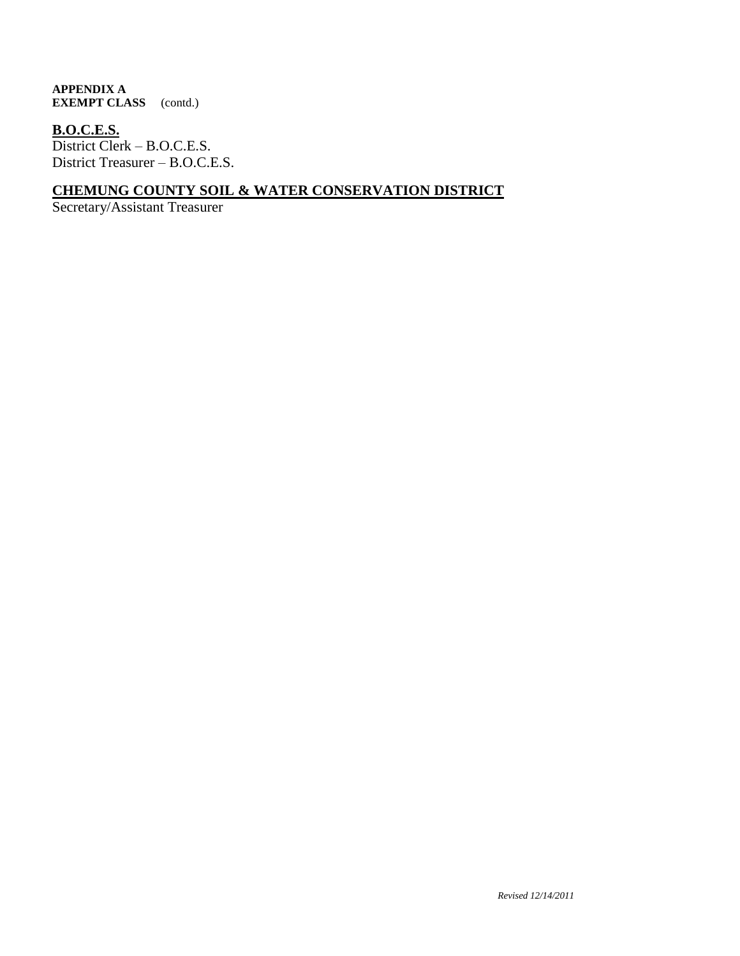#### **APPENDIX A EXEMPT CLASS** (contd.)

# **B.O.C.E.S.**

District Clerk – B.O.C.E.S. District Treasurer – B.O.C.E.S.

# **CHEMUNG COUNTY SOIL & WATER CONSERVATION DISTRICT**

Secretary/Assistant Treasurer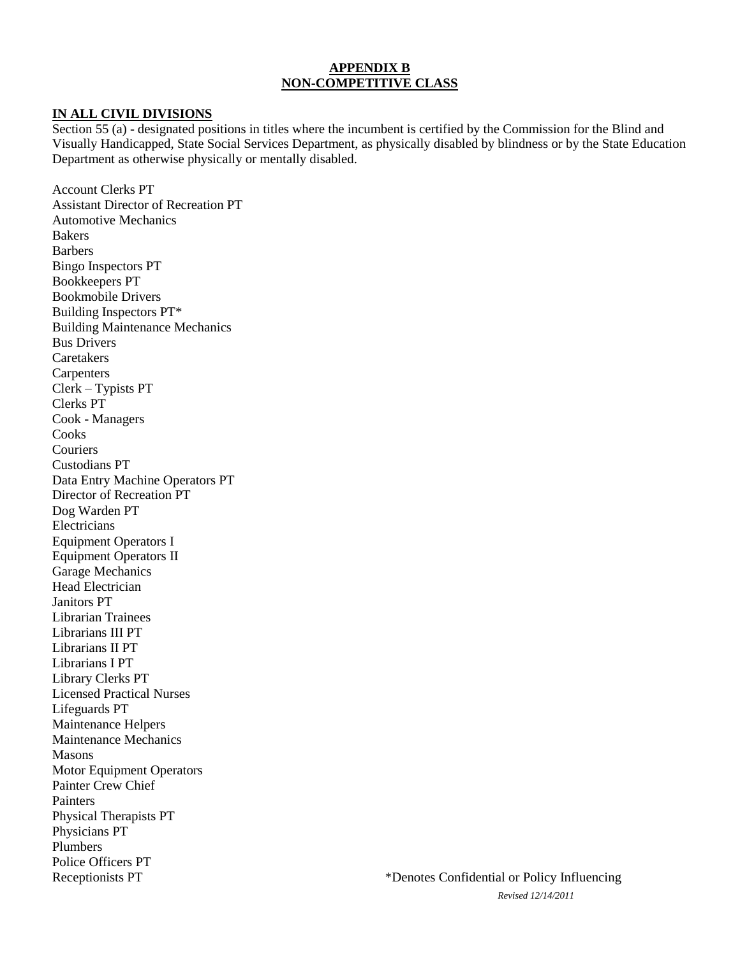### **APPENDIX B NON-COMPETITIVE CLASS**

#### **IN ALL CIVIL DIVISIONS**

Section 55 (a) - designated positions in titles where the incumbent is certified by the Commission for the Blind and Visually Handicapped, State Social Services Department, as physically disabled by blindness or by the State Education Department as otherwise physically or mentally disabled.

Account Clerks PT Assistant Director of Recreation PT Automotive Mechanics Bakers Barbers Bingo Inspectors PT Bookkeepers PT Bookmobile Drivers Building Inspectors PT\* Building Maintenance Mechanics Bus Drivers Caretakers **Carpenters** Clerk – Typists PT Clerks PT Cook - Managers **Cooks Couriers** Custodians PT Data Entry Machine Operators PT Director of Recreation PT Dog Warden PT Electricians Equipment Operators I Equipment Operators II Garage Mechanics Head Electrician Janitors PT Librarian Trainees Librarians III PT Librarians II PT Librarians I PT Library Clerks PT Licensed Practical Nurses Lifeguards PT Maintenance Helpers Maintenance Mechanics Masons Motor Equipment Operators Painter Crew Chief Painters Physical Therapists PT Physicians PT Plumbers Police Officers PT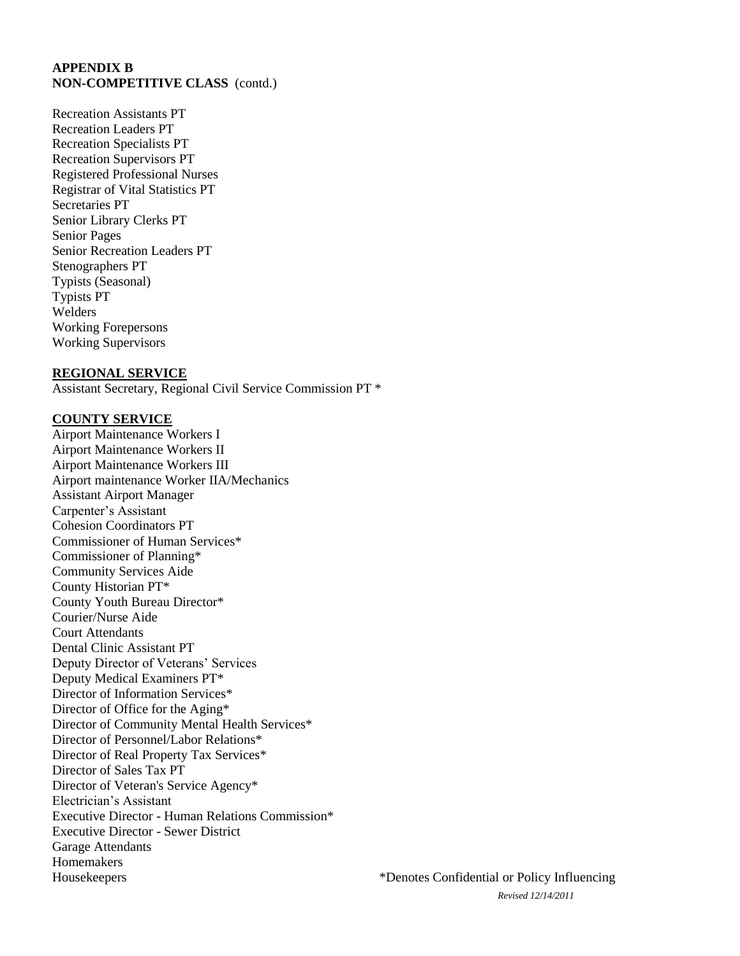Recreation Assistants PT Recreation Leaders PT Recreation Specialists PT Recreation Supervisors PT Registered Professional Nurses Registrar of Vital Statistics PT Secretaries PT Senior Library Clerks PT Senior Pages Senior Recreation Leaders PT Stenographers PT Typists (Seasonal) Typists PT Welders Working Forepersons Working Supervisors

#### **REGIONAL SERVICE**

Assistant Secretary, Regional Civil Service Commission PT \*

#### **COUNTY SERVICE**

Airport Maintenance Workers I Airport Maintenance Workers II Airport Maintenance Workers III Airport maintenance Worker IIA/Mechanics Assistant Airport Manager Carpenter's Assistant Cohesion Coordinators PT Commissioner of Human Services\* Commissioner of Planning\* Community Services Aide County Historian PT\* County Youth Bureau Director\* Courier/Nurse Aide Court Attendants Dental Clinic Assistant PT Deputy Director of Veterans' Services Deputy Medical Examiners PT\* Director of Information Services\* Director of Office for the Aging\* Director of Community Mental Health Services\* Director of Personnel/Labor Relations\* Director of Real Property Tax Services\* Director of Sales Tax PT Director of Veteran's Service Agency\* Electrician's Assistant Executive Director - Human Relations Commission\* Executive Director - Sewer District Garage Attendants Homemakers Housekeepers \*Denotes Confidential or Policy Influencing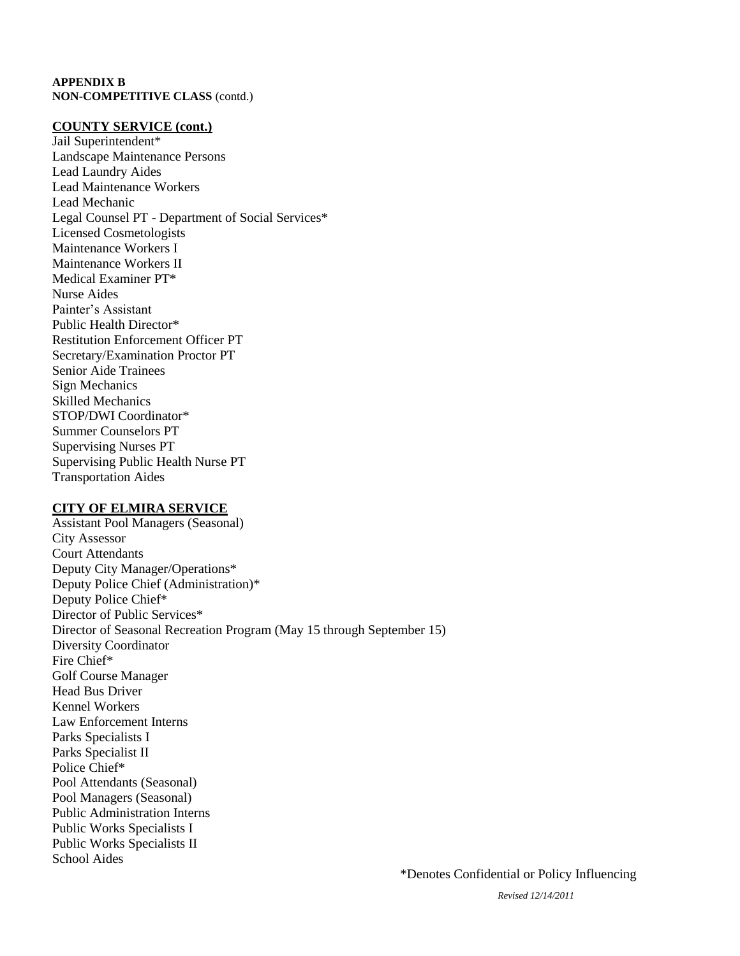#### **COUNTY SERVICE (cont.)**

Jail Superintendent\* Landscape Maintenance Persons Lead Laundry Aides Lead Maintenance Workers Lead Mechanic Legal Counsel PT - Department of Social Services\* Licensed Cosmetologists Maintenance Workers I Maintenance Workers II Medical Examiner PT\* Nurse Aides Painter's Assistant Public Health Director\* Restitution Enforcement Officer PT Secretary/Examination Proctor PT Senior Aide Trainees Sign Mechanics Skilled Mechanics STOP/DWI Coordinator\* Summer Counselors PT Supervising Nurses PT Supervising Public Health Nurse PT Transportation Aides

#### **CITY OF ELMIRA SERVICE**

Assistant Pool Managers (Seasonal) City Assessor Court Attendants Deputy City Manager/Operations\* Deputy Police Chief (Administration)\* Deputy Police Chief\* Director of Public Services\* Director of Seasonal Recreation Program (May 15 through September 15) Diversity Coordinator Fire Chief\* Golf Course Manager Head Bus Driver Kennel Workers Law Enforcement Interns Parks Specialists I Parks Specialist II Police Chief\* Pool Attendants (Seasonal) Pool Managers (Seasonal) Public Administration Interns Public Works Specialists I Public Works Specialists II School Aides

*Revised 12/14/2011*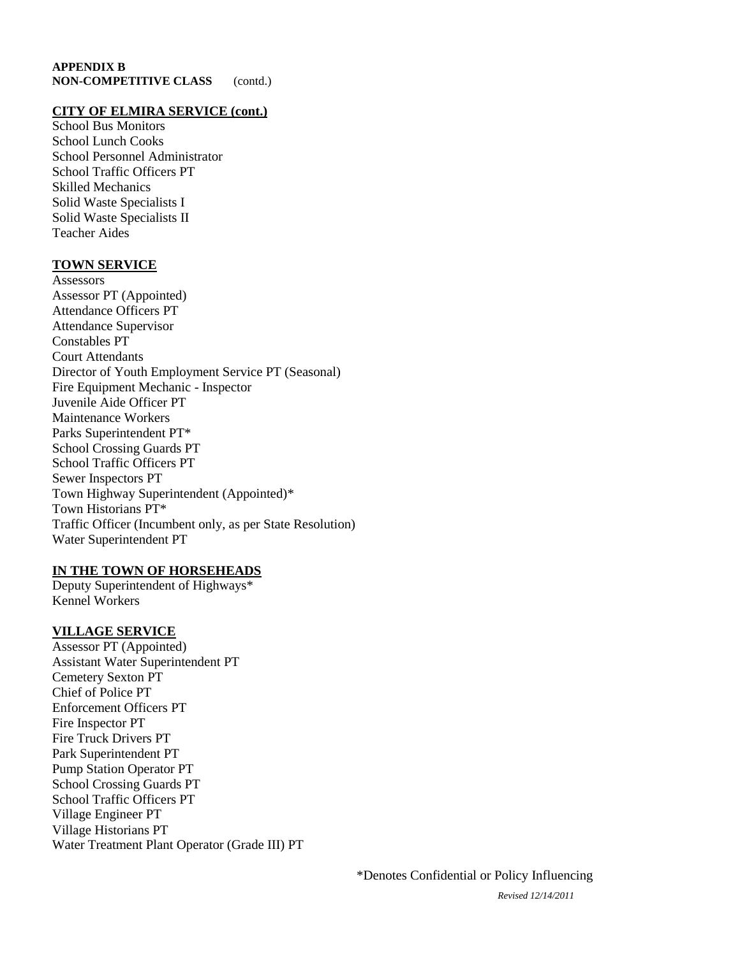#### **CITY OF ELMIRA SERVICE (cont.)**

School Bus Monitors School Lunch Cooks School Personnel Administrator School Traffic Officers PT Skilled Mechanics Solid Waste Specialists I Solid Waste Specialists II Teacher Aides

#### **TOWN SERVICE**

**Assessors** Assessor PT (Appointed) Attendance Officers PT Attendance Supervisor Constables PT Court Attendants Director of Youth Employment Service PT (Seasonal) Fire Equipment Mechanic - Inspector Juvenile Aide Officer PT Maintenance Workers Parks Superintendent PT\* School Crossing Guards PT School Traffic Officers PT Sewer Inspectors PT Town Highway Superintendent (Appointed)\* Town Historians PT\* Traffic Officer (Incumbent only, as per State Resolution) Water Superintendent PT

#### **IN THE TOWN OF HORSEHEADS**

Deputy Superintendent of Highways\* Kennel Workers

### **VILLAGE SERVICE**

Assessor PT (Appointed) Assistant Water Superintendent PT Cemetery Sexton PT Chief of Police PT Enforcement Officers PT Fire Inspector PT Fire Truck Drivers PT Park Superintendent PT Pump Station Operator PT School Crossing Guards PT School Traffic Officers PT Village Engineer PT Village Historians PT Water Treatment Plant Operator (Grade III) PT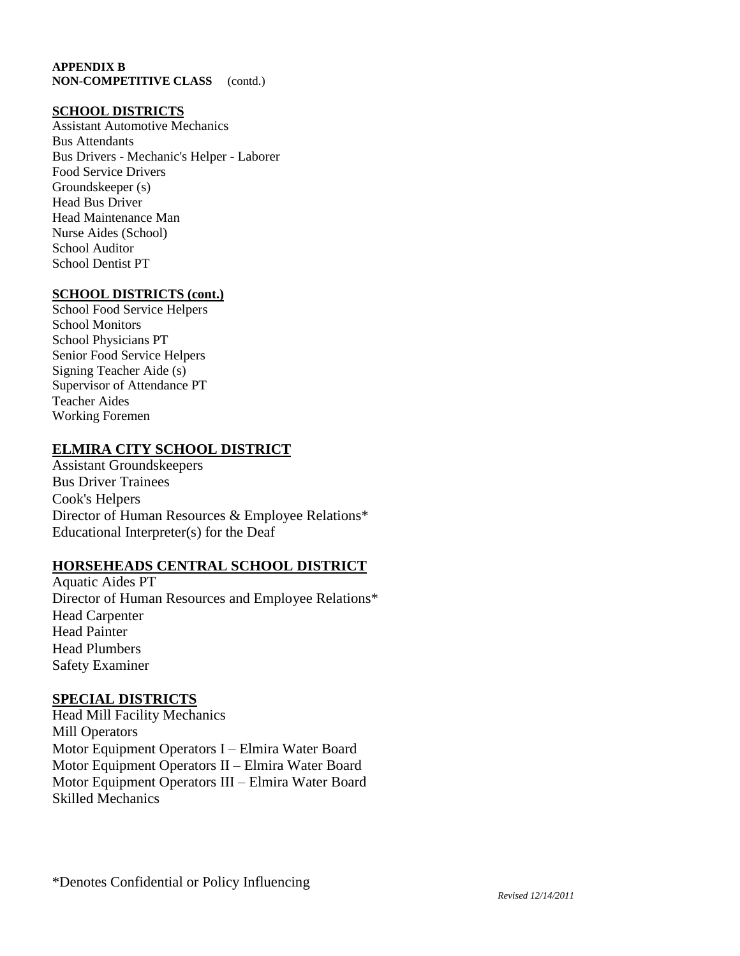#### **SCHOOL DISTRICTS**

Assistant Automotive Mechanics Bus Attendants Bus Drivers - Mechanic's Helper - Laborer Food Service Drivers Groundskeeper (s) Head Bus Driver Head Maintenance Man Nurse Aides (School) School Auditor School Dentist PT

#### **SCHOOL DISTRICTS (cont.)**

School Food Service Helpers School Monitors School Physicians PT Senior Food Service Helpers Signing Teacher Aide (s) Supervisor of Attendance PT Teacher Aides Working Foremen

# **ELMIRA CITY SCHOOL DISTRICT**

Assistant Groundskeepers Bus Driver Trainees Cook's Helpers Director of Human Resources & Employee Relations\* Educational Interpreter(s) for the Deaf

### **HORSEHEADS CENTRAL SCHOOL DISTRICT**

Aquatic Aides PT Director of Human Resources and Employee Relations\* Head Carpenter Head Painter Head Plumbers Safety Examiner

### **SPECIAL DISTRICTS**

Head Mill Facility Mechanics Mill Operators Motor Equipment Operators I – Elmira Water Board Motor Equipment Operators II – Elmira Water Board Motor Equipment Operators III – Elmira Water Board Skilled Mechanics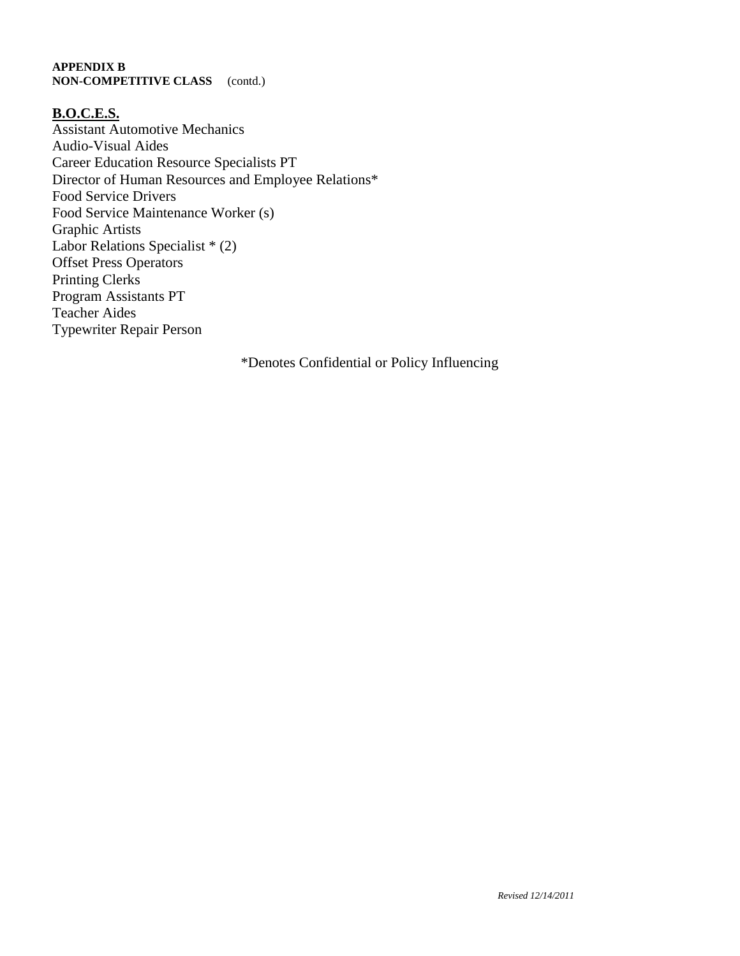### **B.O.C.E.S.**

Assistant Automotive Mechanics Audio-Visual Aides Career Education Resource Specialists PT Director of Human Resources and Employee Relations\* Food Service Drivers Food Service Maintenance Worker (s) Graphic Artists Labor Relations Specialist \* (2) Offset Press Operators Printing Clerks Program Assistants PT Teacher Aides Typewriter Repair Person

\*Denotes Confidential or Policy Influencing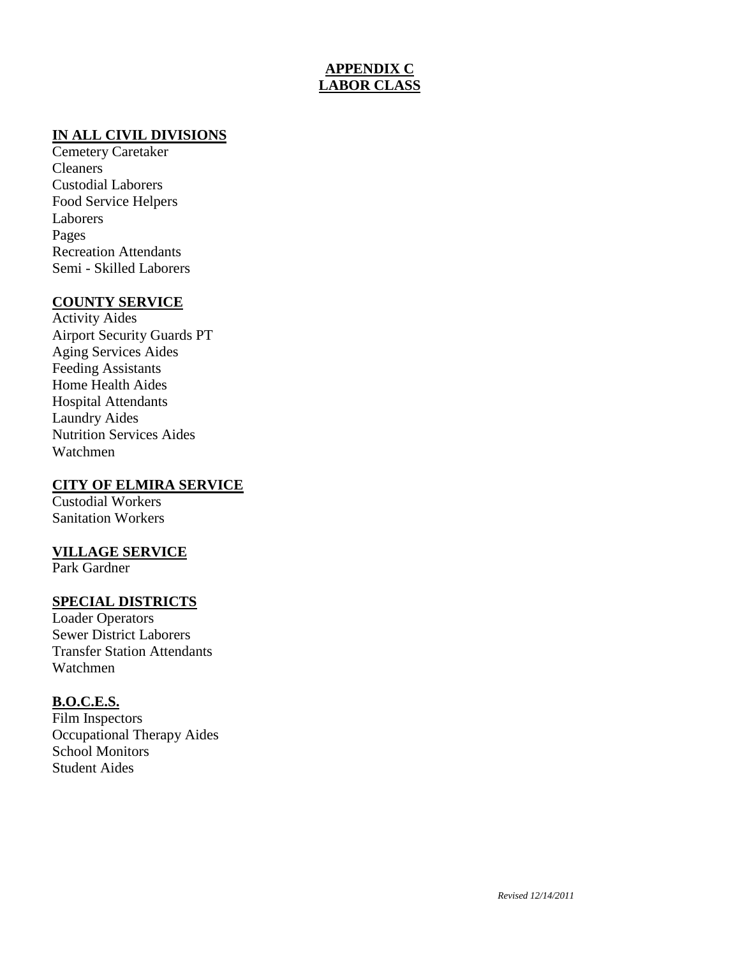# **APPENDIX C LABOR CLASS**

# **IN ALL CIVIL DIVISIONS**

Cemetery Caretaker Cleaners Custodial Laborers Food Service Helpers Laborers Pages Recreation Attendants Semi - Skilled Laborers

# **COUNTY SERVICE**

Activity Aides Airport Security Guards PT Aging Services Aides Feeding Assistants Home Health Aides Hospital Attendants Laundry Aides Nutrition Services Aides Watchmen

# **CITY OF ELMIRA SERVICE**

Custodial Workers Sanitation Workers

# **VILLAGE SERVICE**

Park Gardner

# **SPECIAL DISTRICTS**

Loader Operators Sewer District Laborers Transfer Station Attendants Watchmen

### **B.O.C.E.S.**

Film Inspectors Occupational Therapy Aides School Monitors Student Aides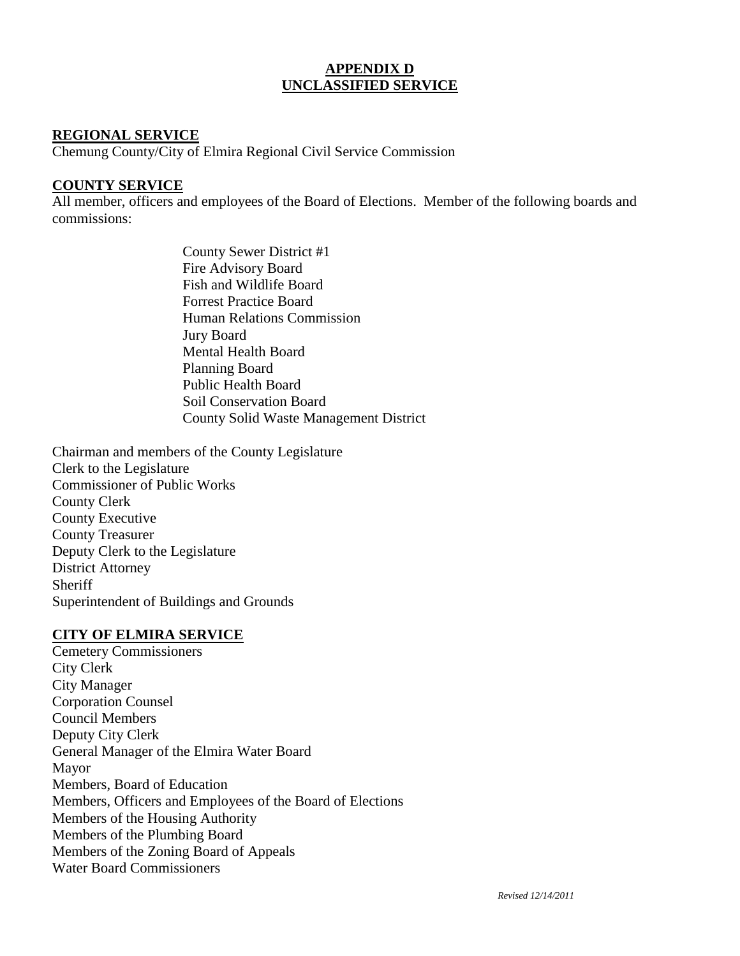# **APPENDIX D UNCLASSIFIED SERVICE**

# **REGIONAL SERVICE**

Chemung County/City of Elmira Regional Civil Service Commission

# **COUNTY SERVICE**

All member, officers and employees of the Board of Elections. Member of the following boards and commissions:

> County Sewer District #1 Fire Advisory Board Fish and Wildlife Board Forrest Practice Board Human Relations Commission Jury Board Mental Health Board Planning Board Public Health Board Soil Conservation Board County Solid Waste Management District

Chairman and members of the County Legislature Clerk to the Legislature Commissioner of Public Works County Clerk County Executive County Treasurer Deputy Clerk to the Legislature District Attorney **Sheriff** Superintendent of Buildings and Grounds

### **CITY OF ELMIRA SERVICE**

Cemetery Commissioners City Clerk City Manager Corporation Counsel Council Members Deputy City Clerk General Manager of the Elmira Water Board Mayor Members, Board of Education Members, Officers and Employees of the Board of Elections Members of the Housing Authority Members of the Plumbing Board Members of the Zoning Board of Appeals Water Board Commissioners